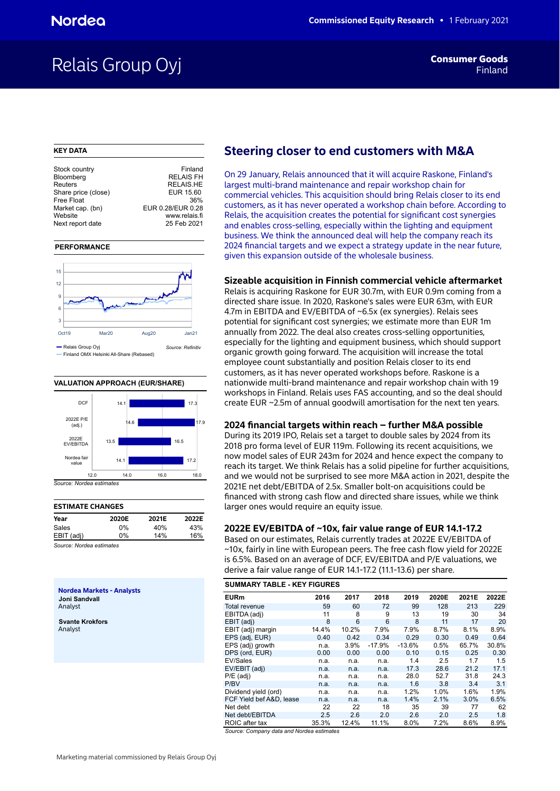## Relais Group Oyj **Findam Consumer Goods**

### **KEY DATA**

| Stock country       | Finland           |
|---------------------|-------------------|
| Bloomberg           | <b>RELAIS FH</b>  |
| Reuters             | <b>RELAIS.HE</b>  |
| Share price (close) | EUR 15.60         |
| Free Float          | 36%               |
| Market cap. (bn)    | EUR 0.28/EUR 0.28 |
| Website             | www.relais.fi     |
| Next report date    | 25 Feb 2021       |
|                     |                   |

### **PERFORMANCE**



### **VALUATION APPROACH (EUR/SHARE)**



## **ESTIMATE CHANGES**

| _________________ |       |       |       |
|-------------------|-------|-------|-------|
| Year              | 2020E | 2021E | 2022E |
| Sales             | በ%    | 40%   | 43%   |
| EBIT (adj)        | 0%    | 14%   | 16%   |
|                   |       |       |       |

*Source: Nordea estimates*

**Nordea Markets - Analysts Joni Sandvall** Analyst

**Svante Krokfors** Analyst

## **Steering closer to end customers with M&A**

On 29 January, Relais announced that it will acquire Raskone, Finland's largest multi-brand maintenance and repair workshop chain for commercial vehicles. This acquisition should bring Relais closer to its end customers, as it has never operated a workshop chain before. According to Relais, the acquisition creates the potential for significant cost synergies and enables cross-selling, especially within the lighting and equipment business. We think the announced deal will help the company reach its 2024 financial targets and we expect a strategy update in the near future, given this expansion outside of the wholesale business.

## **Sizeable acquisition in Finnish commercial vehicle aftermarket**

Relais is acquiring Raskone for EUR 30.7m, with EUR 0.9m coming from a directed share issue. In 2020, Raskone's sales were EUR 63m, with EUR 4.7m in EBITDA and EV/EBITDA of ~6.5x (ex synergies). Relais sees potential for significant cost synergies; we estimate more than EUR 1m annually from 2022. The deal also creates cross-selling opportunities, especially for the lighting and equipment business, which should support organic growth going forward. The acquisition will increase the total employee count substantially and position Relais closer to its end customers, as it has never operated workshops before. Raskone is a nationwide multi-brand maintenance and repair workshop chain with 19 workshops in Finland. Relais uses FAS accounting, and so the deal should create EUR ~2.5m of annual goodwill amortisation for the next ten years.

## **2024 financial targets within reach – further M&A possible**

During its 2019 IPO, Relais set a target to double sales by 2024 from its 2018 pro forma level of EUR 119m. Following its recent acquisitions, we now model sales of EUR 243m for 2024 and hence expect the company to reach its target. We think Relais has a solid pipeline for further acquisitions, and we would not be surprised to see more M&A action in 2021, despite the 2021E net debt/EBITDA of 2.5x. Smaller bolt-on acquisitions could be financed with strong cash flow and directed share issues, while we think larger ones would require an equity issue.

## **2022E EV/EBITDA of ~10x, fair value range of EUR 14.1-17.2**

Based on our estimates, Relais currently trades at 2022E EV/EBITDA of ~10x, fairly in line with European peers. The free cash flow yield for 2022E is 6.5%. Based on an average of DCF, EV/EBITDA and P/E valuations, we derive a fair value range of EUR 14.1-17.2 (11.1-13.6) per share.

| <b>SUMMARY TABLE - KEY FIGURES</b> |       |       |          |          |       |       |       |  |  |  |  |  |
|------------------------------------|-------|-------|----------|----------|-------|-------|-------|--|--|--|--|--|
| <b>EURm</b>                        | 2016  | 2017  | 2018     | 2019     | 2020E | 2021E | 2022E |  |  |  |  |  |
| Total revenue                      | 59    | 60    | 72       | 99       | 128   | 213   | 229   |  |  |  |  |  |
| EBITDA (adj)                       | 11    | 8     | 9        | 13       | 19    | 30    | 34    |  |  |  |  |  |
| EBIT (adj)                         | 8     | 6     | 6        | 8        | 11    | 17    | 20    |  |  |  |  |  |
| EBIT (adj) margin                  | 14.4% | 10.2% | 7.9%     | 7.9%     | 8.7%  | 8.1%  | 8.9%  |  |  |  |  |  |
| EPS (adj, EUR)                     | 0.40  | 0.42  | 0.34     | 0.29     | 0.30  | 0.49  | 0.64  |  |  |  |  |  |
| EPS (adj) growth                   | n.a.  | 3.9%  | $-17.9%$ | $-13.6%$ | 0.5%  | 65.7% | 30.8% |  |  |  |  |  |
| DPS (ord, EUR)                     | 0.00  | 0.00  | 0.00     | 0.10     | 0.15  | 0.25  | 0.30  |  |  |  |  |  |
| EV/Sales                           | n.a.  | n.a.  | n.a.     | 1.4      | 2.5   | 1.7   | 1.5   |  |  |  |  |  |
| EV/EBIT (adj)                      | n.a.  | n.a.  | n.a.     | 17.3     | 28.6  | 21.2  | 17.1  |  |  |  |  |  |
| $P/E$ (adj)                        | n.a.  | n.a.  | n.a.     | 28.0     | 52.7  | 31.8  | 24.3  |  |  |  |  |  |
| P/BV                               | n.a.  | n.a.  | n.a.     | 1.6      | 3.8   | 3.4   | 3.1   |  |  |  |  |  |
| Dividend yield (ord)               | n.a.  | n.a.  | n.a.     | 1.2%     | 1.0%  | 1.6%  | 1.9%  |  |  |  |  |  |
| FCF Yield bef A&D, lease           | n.a.  | n.a.  | n.a.     | 1.4%     | 2.1%  | 3.0%  | 6.5%  |  |  |  |  |  |
| Net debt                           | 22    | 22    | 18       | 35       | 39    | 77    | 62    |  |  |  |  |  |
| Net debt/EBITDA                    | 2.5   | 2.6   | 2.0      | 2.6      | 2.0   | 2.5   | 1.8   |  |  |  |  |  |
| ROIC after tax                     | 35.3% | 12.4% | 11.1%    | 8.0%     | 7.2%  | 8.6%  | 8.9%  |  |  |  |  |  |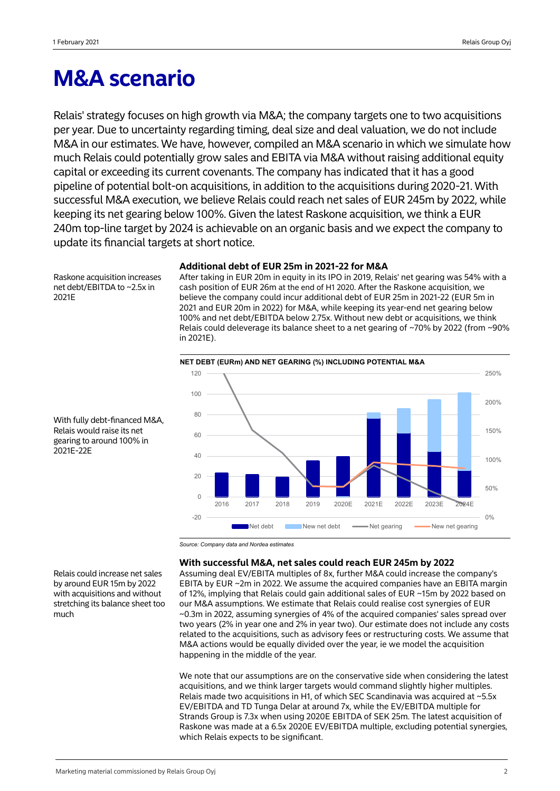## **M&A scenario**

Relais' strategy focuses on high growth via M&A; the company targets one to two acquisitions per year. Due to uncertainty regarding timing, deal size and deal valuation, we do not include M&A in our estimates. We have, however, compiled an M&A scenario in which we simulate how much Relais could potentially grow sales and EBITA via M&A without raising additional equity capital or exceeding its current covenants. The company has indicated that it has a good pipeline of potential bolt-on acquisitions, in addition to the acquisitions during 2020-21. With successful M&A execution, we believe Relais could reach net sales of EUR 245m by 2022, while keeping its net gearing below 100%. Given the latest Raskone acquisition, we think a EUR 240m top-line target by 2024 is achievable on an organic basis and we expect the company to update its financial targets at short notice.

## **Additional debt of EUR 25m in 2021-22 for M&A**

Raskone acquisition increases net debt/EBITDA to ~2.5x in 2021E

After taking in EUR 20m in equity in its IPO in 2019, Relais' net gearing was 54% with a cash position of EUR 26m at the end of H1 2020. After the Raskone acquisition, we believe the company could incur additional debt of EUR 25m in 2021-22 (EUR 5m in 2021 and EUR 20m in 2022) for M&A, while keeping its year-end net gearing below 100% and net debt/EBITDA below 2.75x. Without new debt or acquisitions, we think Relais could deleverage its balance sheet to a net gearing of ~70% by 2022 (from ~90% in 2021E).



With fully debt-financed M&A, Relais would raise its net gearing to around 100% in 2021E-22E

## **With successful M&A, net sales could reach EUR 245m by 2022**

Assuming deal EV/EBITA multiples of 8x, further M&A could increase the company's EBITA by EUR ~2m in 2022. We assume the acquired companies have an EBITA margin of 12%, implying that Relais could gain additional sales of EUR ~15m by 2022 based on our M&A assumptions. We estimate that Relais could realise cost synergies of EUR ~0.3m in 2022, assuming synergies of 4% of the acquired companies' sales spread over two years (2% in year one and 2% in year two). Our estimate does not include any costs related to the acquisitions, such as advisory fees or restructuring costs. We assume that M&A actions would be equally divided over the year, ie we model the acquisition happening in the middle of the year.

We note that our assumptions are on the conservative side when considering the latest acquisitions, and we think larger targets would command slightly higher multiples. Relais made two acquisitions in H1, of which SEC Scandinavia was acquired at  $\sim$  5.5x EV/EBITDA and TD Tunga Delar at around 7x, while the EV/EBITDA multiple for Strands Group is 7.3x when using 2020E EBITDA of SEK 25m. The latest acquisition of Raskone was made at a 6.5x 2020E EV/EBITDA multiple, excluding potential synergies, which Relais expects to be significant.

Relais could increase net sales by around EUR 15m by 2022 with acquisitions and without stretching its balance sheet too much

*Source: Company data and Nordea estimates*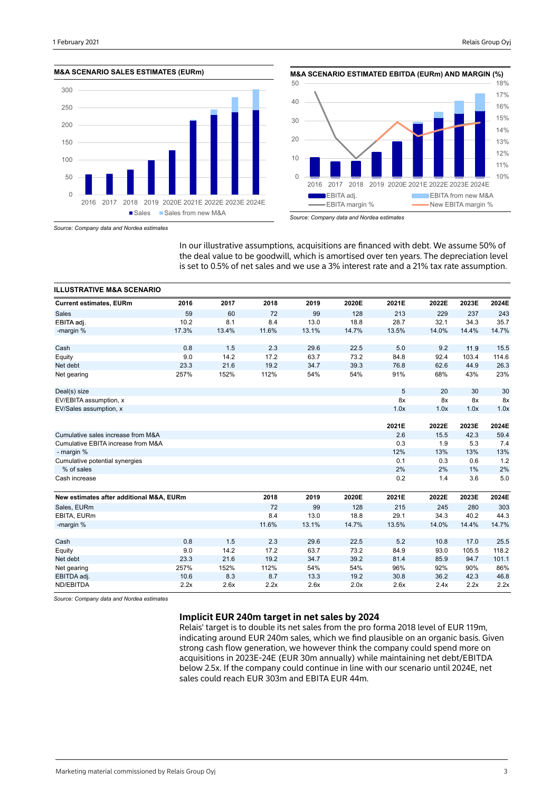





*Source: Company data and Nordea estimates*

*Source: Company data and Nordea estimates*

In our illustrative assumptions, acquisitions are financed with debt. We assume 50% of the deal value to be goodwill, which is amortised over ten years. The depreciation level is set to 0.5% of net sales and we use a 3% interest rate and a 21% tax rate assumption.

| <b>ILLUSTRATIVE M&amp;A SCENARIO</b>     |       |       |       |       |       |       |       |       |       |
|------------------------------------------|-------|-------|-------|-------|-------|-------|-------|-------|-------|
| <b>Current estimates, EURm</b>           | 2016  | 2017  | 2018  | 2019  | 2020E | 2021E | 2022E | 2023E | 2024E |
| <b>Sales</b>                             | 59    | 60    | 72    | 99    | 128   | 213   | 229   | 237   | 243   |
| EBITA adj.                               | 10.2  | 8.1   | 8.4   | 13.0  | 18.8  | 28.7  | 32.1  | 34.3  | 35.7  |
| -margin %                                | 17.3% | 13.4% | 11.6% | 13.1% | 14.7% | 13.5% | 14.0% | 14.4% | 14.7% |
| Cash                                     | 0.8   | 1.5   | 2.3   | 29.6  | 22.5  | 5.0   | 9.2   | 11.9  | 15.5  |
| Equity                                   | 9.0   | 14.2  | 17.2  | 63.7  | 73.2  | 84.8  | 92.4  | 103.4 | 114.6 |
| Net debt                                 | 23.3  | 21.6  | 19.2  | 34.7  | 39.3  | 76.8  | 62.6  | 44.9  | 26.3  |
| Net gearing                              | 257%  | 152%  | 112%  | 54%   | 54%   | 91%   | 68%   | 43%   | 23%   |
| Deal(s) size                             |       |       |       |       |       | 5     | 20    | 30    | 30    |
| EV/EBITA assumption, x                   |       |       |       |       |       | 8x    | 8x    | 8x    | 8x    |
| EV/Sales assumption, x                   |       |       |       |       |       | 1.0x  | 1.0x  | 1.0x  | 1.0x  |
|                                          |       |       |       |       |       |       |       |       |       |
|                                          |       |       |       |       |       | 2021E | 2022E | 2023E | 2024E |
| Cumulative sales increase from M&A       |       |       |       |       |       | 2.6   | 15.5  | 42.3  | 59.4  |
| Cumulative EBITA increase from M&A       |       |       |       |       |       | 0.3   | 1.9   | 5.3   | 7.4   |
| - margin %                               |       |       |       |       |       | 12%   | 13%   | 13%   | 13%   |
| Cumulative potential synergies           |       |       |       |       |       | 0.1   | 0.3   | 0.6   | 1.2   |
| % of sales                               |       |       |       |       |       | 2%    | 2%    | 1%    | 2%    |
| Cash increase                            |       |       |       |       |       | 0.2   | 1.4   | 3.6   | 5.0   |
| New estimates after additional M&A, EURm |       |       | 2018  | 2019  | 2020E | 2021E | 2022E | 2023E | 2024E |
| Sales, EURm                              |       |       | 72    | 99    | 128   | 215   | 245   | 280   | 303   |
| EBITA, EURm                              |       |       | 8.4   | 13.0  | 18.8  | 29.1  | 34.3  | 40.2  | 44.3  |
| -margin %                                |       |       | 11.6% | 13.1% | 14.7% | 13.5% | 14.0% | 14.4% | 14.7% |
| Cash                                     | 0.8   | 1.5   | 2.3   | 29.6  | 22.5  | 5.2   | 10.8  | 17.0  | 25.5  |
|                                          | 9.0   | 14.2  | 17.2  | 63.7  | 73.2  | 84.9  | 93.0  | 105.5 | 118.2 |
| Equity<br>Net debt                       | 23.3  | 21.6  | 19.2  | 34.7  | 39.2  | 81.4  | 85.9  | 94.7  | 101.1 |
|                                          | 257%  | 152%  | 112%  | 54%   | 54%   | 96%   | 92%   | 90%   | 86%   |
| Net gearing<br>EBITDA adj.               | 10.6  | 8.3   | 8.7   | 13.3  | 19.2  | 30.8  | 36.2  | 42.3  | 46.8  |
| ND/EBITDA                                | 2.2x  | 2.6x  | 2.2x  | 2.6x  | 2.0x  | 2.6x  | 2.4x  | 2.2x  | 2.2x  |
|                                          |       |       |       |       |       |       |       |       |       |

*Source: Company data and Nordea estimates*

## **Implicit EUR 240m target in net sales by 2024**

Relais' target is to double its net sales from the pro forma 2018 level of EUR 119m, indicating around EUR 240m sales, which we find plausible on an organic basis. Given strong cash flow generation, we however think the company could spend more on acquisitions in 2023E-24E (EUR 30m annually) while maintaining net debt/EBITDA below 2.5x. If the company could continue in line with our scenario until 2024E, net sales could reach EUR 303m and EBITA EUR 44m.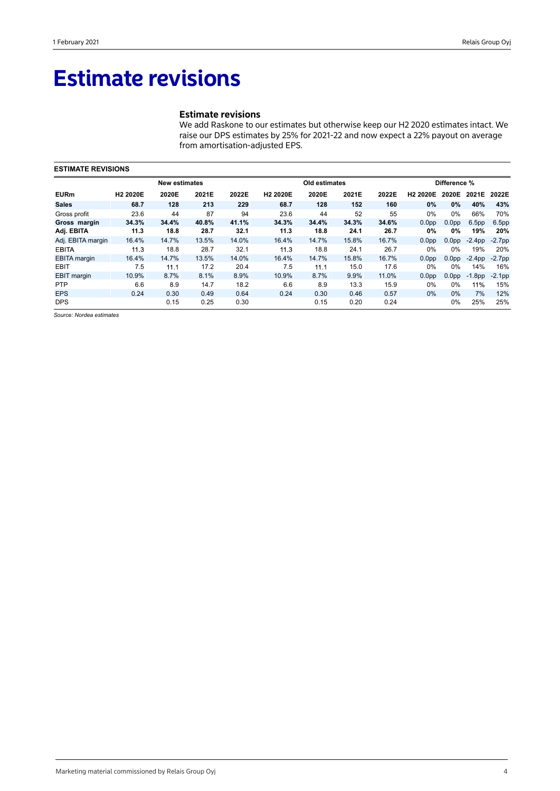## **Estimate revisions**

## **Estimate revisions**

We add Raskone to our estimates but otherwise keep our H2 2020 estimates intact. We raise our DPS estimates by 25% for 2021-22 and now expect a 22% payout on average from amortisation-adjusted EPS.

|                     | <b>ESTIMATE REVISIONS</b> |                      |       |       |                      |               |       |       |                      |                   |                   |                   |  |
|---------------------|---------------------------|----------------------|-------|-------|----------------------|---------------|-------|-------|----------------------|-------------------|-------------------|-------------------|--|
|                     |                           | <b>New estimates</b> |       |       |                      | Old estimates |       |       |                      | Difference %      |                   |                   |  |
| <b>EURm</b>         | H <sub>2</sub> 2020E      | 2020E                | 2021E | 2022E | H <sub>2</sub> 2020E | 2020E         | 2021E | 2022E | H <sub>2</sub> 2020E | 2020E             | 2021E             | 2022E             |  |
| <b>Sales</b>        | 68.7                      | 128                  | 213   | 229   | 68.7                 | 128           | 152   | 160   | $0\%$                | $0\%$             | 40%               | 43%               |  |
| Gross profit        | 23.6                      | 44                   | 87    | 94    | 23.6                 | 44            | 52    | 55    | $0\%$                | $0\%$             | 66%               | 70%               |  |
| Gross margin        | 34.3%                     | 34.4%                | 40.8% | 41.1% | 34.3%                | 34.4%         | 34.3% | 34.6% | 0.0 <sub>pp</sub>    | 0.0 <sub>pp</sub> | 6.5 <sub>pp</sub> | 6.5 <sub>pp</sub> |  |
| Adj. EBITA          | 11.3                      | 18.8                 | 28.7  | 32.1  | 11.3                 | 18.8          | 24.1  | 26.7  | 0%                   | 0%                | 19%               | 20%               |  |
| Adj. EBITA margin   | 16.4%                     | 14.7%                | 13.5% | 14.0% | 16.4%                | 14.7%         | 15.8% | 16.7% | 0.0 <sub>pp</sub>    | 0.0 <sub>pp</sub> | $-2.4pp$          | $-2.7pp$          |  |
| <b>EBITA</b>        | 11.3                      | 18.8                 | 28.7  | 32.1  | 11.3                 | 18.8          | 24.1  | 26.7  | $0\%$                | $0\%$             | 19%               | 20%               |  |
| <b>EBITA</b> margin | 16.4%                     | 14.7%                | 13.5% | 14.0% | 16.4%                | 14.7%         | 15.8% | 16.7% | 0.0 <sub>pp</sub>    | 0.0 <sub>pp</sub> | $-2.4pp$          | $-2.7pp$          |  |
| <b>EBIT</b>         | 7.5                       | 11.1                 | 17.2  | 20.4  | 7.5                  | 11.1          | 15.0  | 17.6  | $0\%$                | $0\%$             | 14%               | 16%               |  |
| <b>EBIT</b> margin  | 10.9%                     | 8.7%                 | 8.1%  | 8.9%  | 10.9%                | 8.7%          | 9.9%  | 11.0% | 0.0 <sub>pp</sub>    | 0.0 <sub>pp</sub> | $-1.8$ pp         | $-2.1$ pp         |  |
| <b>PTP</b>          | 6.6                       | 8.9                  | 14.7  | 18.2  | 6.6                  | 8.9           | 13.3  | 15.9  | $0\%$                | $0\%$             | 11%               | 15%               |  |
| <b>EPS</b>          | 0.24                      | 0.30                 | 0.49  | 0.64  | 0.24                 | 0.30          | 0.46  | 0.57  | $0\%$                | 0%                | 7%                | 12%               |  |
| <b>DPS</b>          |                           | 0.15                 | 0.25  | 0.30  |                      | 0.15          | 0.20  | 0.24  |                      | $0\%$             | 25%               | 25%               |  |

*Source: Nordea estimates*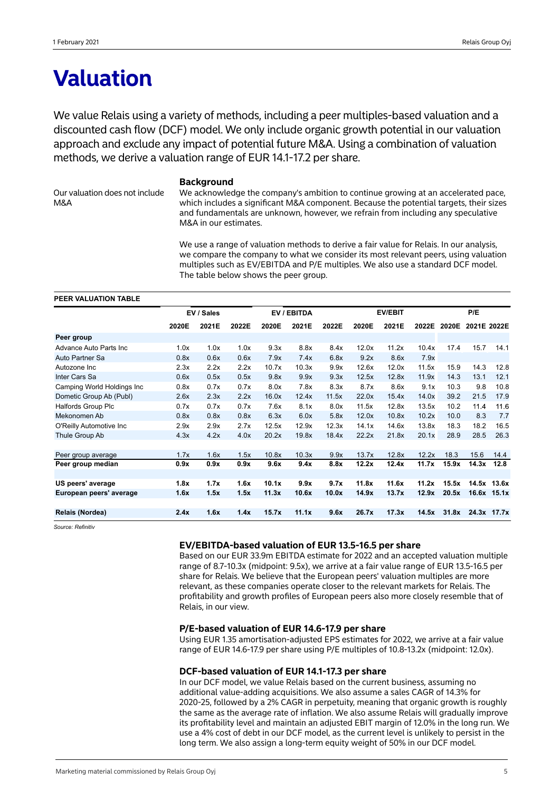## **Valuation**

We value Relais using a variety of methods, including a peer multiples-based valuation and a discounted cash flow (DCF) model. We only include organic growth potential in our valuation approach and exclude any impact of potential future M&A. Using a combination of valuation methods, we derive a valuation range of EUR 14.1-17.2 per share.

Our valuation does not include M&A

### **Background**

We acknowledge the company's ambition to continue growing at an accelerated pace. which includes a significant M&A component. Because the potential targets, their sizes and fundamentals are unknown, however, we refrain from including any speculative M&A in our estimates.

We use a range of valuation methods to derive a fair value for Relais. In our analysis, we compare the company to what we consider its most relevant peers, using valuation multiples such as EV/EBITDA and P/E multiples. We also use a standard DCF model. The table below shows the peer group.

### **PEER VALUATION TABLE**

|                            | EV / Sales |       |       |       | EV / EBITDA | <b>EV/EBIT</b> |       |       |       | P/E   |             |             |  |
|----------------------------|------------|-------|-------|-------|-------------|----------------|-------|-------|-------|-------|-------------|-------------|--|
|                            | 2020E      | 2021E | 2022E | 2020E | 2021E       | 2022E          | 2020E | 2021E | 2022E | 2020E | 2021E 2022E |             |  |
| Peer group                 |            |       |       |       |             |                |       |       |       |       |             |             |  |
| Advance Auto Parts Inc     | 1.0x       | 1.0x  | 1.0x  | 9.3x  | 8.8x        | 8.4x           | 12.0x | 11.2x | 10.4x | 17.4  | 15.7        | 14.1        |  |
| Auto Partner Sa            | 0.8x       | 0.6x  | 0.6x  | 7.9x  | 7.4x        | 6.8x           | 9.2x  | 8.6x  | 7.9x  |       |             |             |  |
| Autozone Inc               | 2.3x       | 2.2x  | 2.2x  | 10.7x | 10.3x       | 9.9x           | 12.6x | 12.0x | 11.5x | 15.9  | 14.3        | 12.8        |  |
| Inter Cars Sa              | 0.6x       | 0.5x  | 0.5x  | 9.8x  | 9.9x        | 9.3x           | 12.5x | 12.8x | 11.9x | 14.3  | 13.1        | 12.1        |  |
| Camping World Holdings Inc | 0.8x       | 0.7x  | 0.7x  | 8.0x  | 7.8x        | 8.3x           | 8.7x  | 8.6x  | 9.1x  | 10.3  | 9.8         | 10.8        |  |
| Dometic Group Ab (Publ)    | 2.6x       | 2.3x  | 2.2x  | 16.0x | 12.4x       | 11.5x          | 22.0x | 15.4x | 14.0x | 39.2  | 21.5        | 17.9        |  |
| <b>Halfords Group Plc</b>  | 0.7x       | 0.7x  | 0.7x  | 7.6x  | 8.1x        | 8.0x           | 11.5x | 12.8x | 13.5x | 10.2  | 11.4        | 11.6        |  |
| Mekonomen Ab               | 0.8x       | 0.8x  | 0.8x  | 6.3x  | 6.0x        | 5.8x           | 12.0x | 10.8x | 10.2x | 10.0  | 8.3         | 7.7         |  |
| O'Reilly Automotive Inc    | 2.9x       | 2.9x  | 2.7x  | 12.5x | 12.9x       | 12.3x          | 14.1x | 14.6x | 13.8x | 18.3  | 18.2        | 16.5        |  |
| Thule Group Ab             | 4.3x       | 4.2x  | 4.0x  | 20.2x | 19.8x       | 18.4x          | 22.2x | 21.8x | 20.1x | 28.9  | 28.5        | 26.3        |  |
| Peer group average         | 1.7x       | 1.6x  | 1.5x  | 10.8x | 10.3x       | 9.9x           | 13.7x | 12.8x | 12.2x | 18.3  | 15.6        | 14.4        |  |
| Peer group median          | 0.9x       | 0.9x  | 0.9x  | 9.6x  | 9.4x        | 8.8x           | 12.2x | 12.4x | 11.7x | 15.9x | 14.3x       | 12.8        |  |
|                            |            |       |       |       |             |                |       |       |       |       |             |             |  |
| US peers' average          | 1.8x       | 1.7x  | 1.6x  | 10.1x | 9.9x        | 9.7x           | 11.8x | 11.6x | 11.2x | 15.5x |             | 14.5x 13.6x |  |
| European peers' average    | 1.6x       | 1.5x  | 1.5x  | 11.3x | 10.6x       | 10.0x          | 14.9x | 13.7x | 12.9x | 20.5x |             | 16.6x 15.1x |  |
| Relais (Nordea)            | 2.4x       | 1.6x  | 1.4x  | 15.7x | 11.1x       | 9.6x           | 26.7x | 17.3x | 14.5x | 31.8x |             | 24.3x 17.7x |  |
|                            |            |       |       |       |             |                |       |       |       |       |             |             |  |

*Source: Refinitiv*

## **EV/EBITDA-based valuation of EUR 13.5-16.5 per share**

Based on our EUR 33.9m EBITDA estimate for 2022 and an accepted valuation multiple range of 8.7-10.3x (midpoint: 9.5x), we arrive at a fair value range of EUR 13.5-16.5 per share for Relais. We believe that the European peers' valuation multiples are more relevant, as these companies operate closer to the relevant markets for Relais. The profitability and growth profiles of European peers also more closely resemble that of Relais, in our view.

## **P/E-based valuation of EUR 14.6-17.9 per share**

Using EUR 1.35 amortisation-adjusted EPS estimates for 2022, we arrive at a fair value range of EUR 14.6-17.9 per share using P/E multiples of 10.8-13.2x (midpoint: 12.0x).

## **DCF-based valuation of EUR 14.1-17.3 per share**

In our DCF model, we value Relais based on the current business, assuming no additional value-adding acquisitions. We also assume a sales CAGR of 14.3% for 2020-25, followed by a 2% CAGR in perpetuity, meaning that organic growth is roughly the same as the average rate of inflation. We also assume Relais will gradually improve its profitability level and maintain an adjusted EBIT margin of 12.0% in the long run. We use a 4% cost of debt in our DCF model, as the current level is unlikely to persist in the long term. We also assign a long-term equity weight of 50% in our DCF model.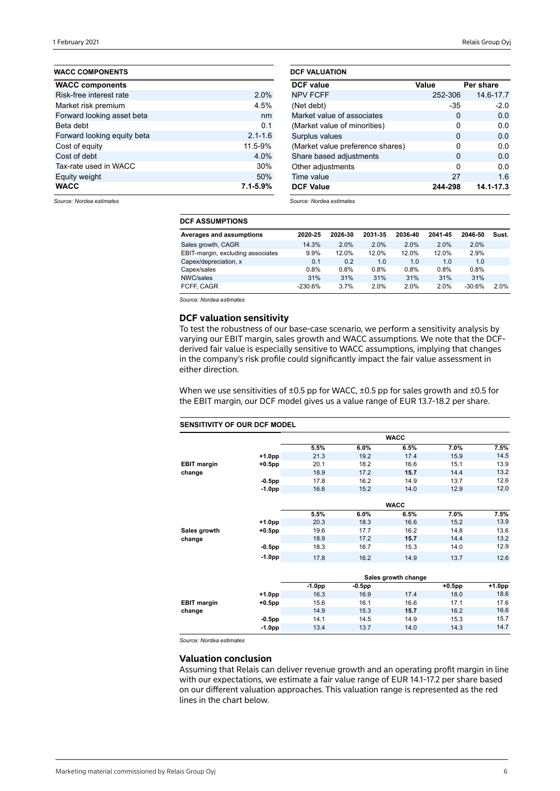| <b>WACC COMPONENTS</b>      |              |
|-----------------------------|--------------|
| <b>WACC components</b>      |              |
| Risk-free interest rate     | 2.0%         |
| Market risk premium         | 4.5%         |
| Forward looking asset beta  | nm           |
| Beta debt                   | 0.1          |
| Forward looking equity beta | $2.1 - 1.6$  |
| Cost of equity              | 11.5-9%      |
| Cost of debt                | 4.0%         |
| Tax-rate used in WACC       | 30%          |
| Equity weight               | 50%          |
| <b>WACC</b>                 | $7.1 - 5.9%$ |

| <b>DCF VALUATION</b>             |         |           |
|----------------------------------|---------|-----------|
| <b>DCF</b> value                 | Value   | Per share |
| <b>NPV FCFF</b>                  | 252-306 | 14.6-17.7 |
| (Net debt)                       | $-35$   | $-2.0$    |
| Market value of associates       | 0       | 0.0       |
| (Market value of minorities)     | 0       | 0.0       |
| Surplus values                   | 0       | 0.0       |
| (Market value preference shares) | 0       | 0.O       |
| Share based adjustments          | 0       | 0.0       |
| Other adjustments                | ŋ       | 0.0       |
| Time value                       | 27      | 1.6       |
| <b>DCF Value</b>                 | 244-298 | 14.1-17.3 |

*Source: Nordea estimates*

### *Source: Nordea estimates*

| <b>DCF ASSUMPTIONS</b>            |           |         |         |         |         |          |       |  |  |  |  |
|-----------------------------------|-----------|---------|---------|---------|---------|----------|-------|--|--|--|--|
| Averages and assumptions          | 2020-25   | 2026-30 | 2031-35 | 2036-40 | 2041-45 | 2046-50  | Sust. |  |  |  |  |
| Sales growth, CAGR                | 14.3%     | 2.0%    | 2.0%    | 2.0%    | 2.0%    | 2.0%     |       |  |  |  |  |
| EBIT-margin, excluding associates | 9.9%      | 12.0%   | 12.0%   | 12.0%   | 12.0%   | 2.9%     |       |  |  |  |  |
| Capex/depreciation, x             | 0.1       | 0.2     | 1.0     | 1.0     | 1.0     | 1.0      |       |  |  |  |  |
| Capex/sales                       | 0.8%      | 0.8%    | 0.8%    | $0.8\%$ | 0.8%    | 0.8%     |       |  |  |  |  |
| NWC/sales                         | 31%       | 31%     | 31%     | 31%     | 31%     | 31%      |       |  |  |  |  |
| FCFF, CAGR                        | $-230.6%$ | 3.7%    | 2.0%    | 2.0%    | 2.0%    | $-30.6%$ | 2.0%  |  |  |  |  |

*Source: Nordea estimates*

## **DCF valuation sensitivity**

To test the robustness of our base-case scenario, we perform a sensitivity analysis by varying our EBIT margin, sales growth and WACC assumptions. We note that the DCFderived fair value is especially sensitive to WACC assumptions, implying that changes in the company's risk profile could significantly impact the fair value assessment in either direction.

When we use sensitivities of ±0.5 pp for WACC, ±0.5 pp for sales growth and ±0.5 for the EBIT margin, our DCF model gives us a value range of EUR 13.7-18.2 per share.

### **SENSITIVITY OF OUR DCF MODEL 5.5% 6.0% 6.5% 7.0% 7.5% +1.0pp** 21.3 19.2 17.4 15.9 14.5 **EBIT margin +0.5pp** 20.1 18.2 16.6 15.1 13.9 **change** 18.9 17.2 **15.7** 14.4 13.2 **-0.5pp** 17.8 16.2 14.9 13.7 12.6 **-1.0pp** 16.6 15.2 14.0 12.9 12.0 **5.5% 6.0% 6.5% 7.0% 7.5% +1.0pp** 20.3 18.3 16.6 15.2 13.9 **Sales growth +0.5pp** 19.6 17.7 16.2 14.8 13.6 **change** 18.9 17.2 **15.7** 14.4 13.2 **-0.5pp** 18.3 16.7 15.3 14.0 12.9 **-1.0pp** 17.8 16.2 14.9 13.7 12.6 **-1.0pp -0.5pp +0.5pp +1.0pp +1.0pp** 16.3 16.9 17.4 18.0 18.6 **EBIT margin +0.5pp** 15.6 16.1 16.6 17.1 17.6 **change** 15.3 **15.7** 16.2 16.6 **-0.5pp** 14.1 14.5 14.9 15.3 15.7 **-1.0pp** 13.4 13.7 14.0 14.3 14.7 **WACC WACC Sales growth change**

*Source: Nordea estimates*

### **Valuation conclusion**

Assuming that Relais can deliver revenue growth and an operating profit margin in line with our expectations, we estimate a fair value range of EUR 14.1-17.2 per share based on our different valuation approaches. This valuation range is represented as the red lines in the chart below.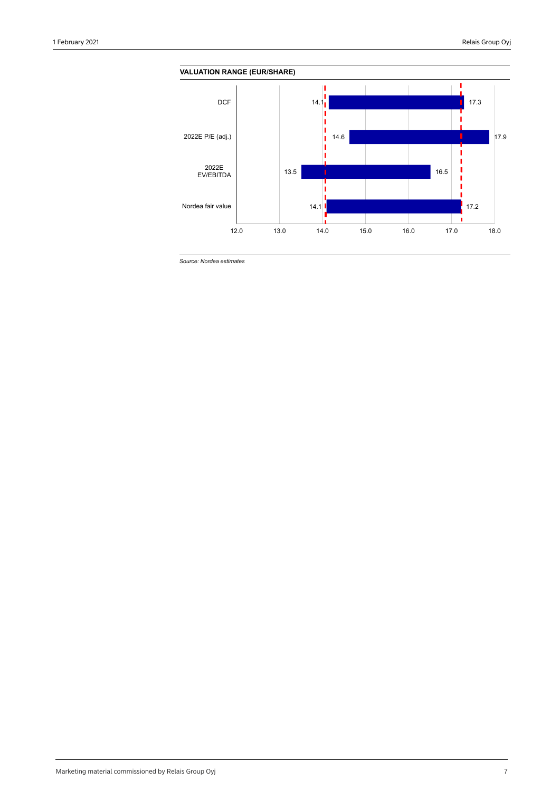

*Source: Nordea estimates*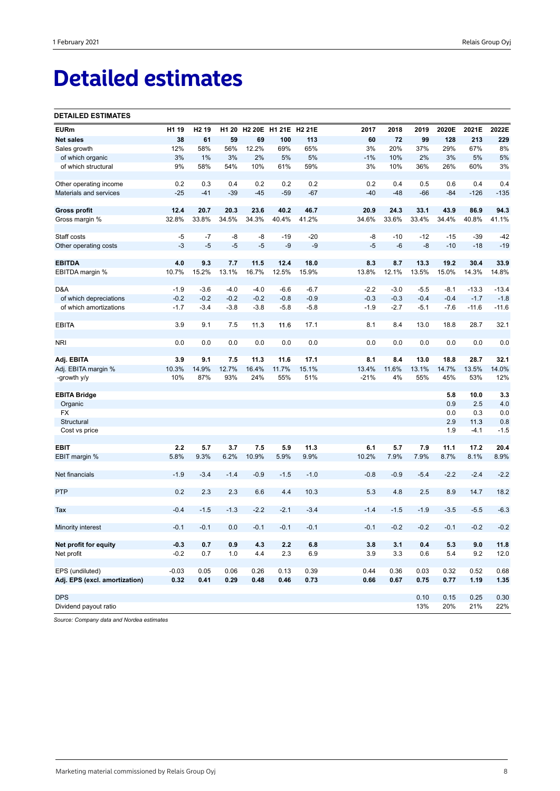# **Detailed estimates**

### **DETAILED ESTIMATES**

| <b>EURm</b>                   | H1 19   | H <sub>2</sub> 19 | H <sub>1</sub> 20 |        | H2 20E H1 21E H2 21E |        | 2017   | 2018   | 2019   | 2020E  | 2021E   | 2022E   |
|-------------------------------|---------|-------------------|-------------------|--------|----------------------|--------|--------|--------|--------|--------|---------|---------|
| <b>Net sales</b>              | 38      | 61                | 59                | 69     | 100                  | 113    | 60     | 72     | 99     | 128    | 213     | 229     |
| Sales growth                  | 12%     | 58%               | 56%               | 12.2%  | 69%                  | 65%    | 3%     | 20%    | 37%    | 29%    | 67%     | 8%      |
| of which organic              | 3%      | 1%                | 3%                | 2%     | 5%                   | 5%     | $-1%$  | 10%    | 2%     | 3%     | 5%      | 5%      |
| of which structural           | 9%      | 58%               | 54%               | 10%    | 61%                  | 59%    | 3%     | 10%    | 36%    | 26%    | 60%     | 3%      |
|                               |         |                   |                   |        |                      |        |        |        |        |        |         |         |
| Other operating income        | 0.2     | 0.3               | 0.4               | 0.2    | 0.2                  | 0.2    | 0.2    | 0.4    | 0.5    | 0.6    | 0.4     | 0.4     |
| Materials and services        | $-25$   | $-41$             | $-39$             | $-45$  | $-59$                | $-67$  | $-40$  | $-48$  | $-66$  | $-84$  | $-126$  | $-135$  |
|                               |         |                   |                   |        |                      |        |        |        |        |        |         |         |
| <b>Gross profit</b>           | 12.4    | 20.7              | 20.3              | 23.6   | 40.2                 | 46.7   | 20.9   | 24.3   | 33.1   | 43.9   | 86.9    | 94.3    |
| Gross margin %                | 32.8%   | 33.8%             | 34.5%             | 34.3%  | 40.4%                | 41.2%  | 34.6%  | 33.6%  | 33.4%  | 34.4%  | 40.8%   | 41.1%   |
|                               |         |                   |                   |        |                      |        |        |        |        |        |         |         |
| Staff costs                   | -5      | -7                | -8                | -8     | $-19$                | $-20$  | -8     | $-10$  | $-12$  | $-15$  | $-39$   | $-42$   |
| Other operating costs         | $-3$    | $-5$              | $-5$              | $-5$   | -9                   | $-9$   | $-5$   | $-6$   | $-8$   | $-10$  | $-18$   | $-19$   |
|                               |         |                   |                   |        |                      |        |        |        |        |        |         |         |
| <b>EBITDA</b>                 | 4.0     | 9.3               | 7.7               | 11.5   | 12.4                 | 18.0   | 8.3    | 8.7    | 13.3   | 19.2   | 30.4    | 33.9    |
| EBITDA margin %               | 10.7%   | 15.2%             | 13.1%             | 16.7%  | 12.5%                | 15.9%  | 13.8%  | 12.1%  | 13.5%  | 15.0%  | 14.3%   | 14.8%   |
|                               |         |                   |                   |        |                      |        |        |        |        |        |         |         |
| D&A                           | $-1.9$  | $-3.6$            | $-4.0$            | $-4.0$ | $-6.6$               | $-6.7$ | $-2.2$ | $-3.0$ | $-5.5$ | $-8.1$ | $-13.3$ | $-13.4$ |
| of which depreciations        | $-0.2$  | $-0.2$            | $-0.2$            | $-0.2$ | $-0.8$               | $-0.9$ | $-0.3$ | $-0.3$ | $-0.4$ | $-0.4$ | $-1.7$  | $-1.8$  |
| of which amortizations        | $-1.7$  | $-3.4$            | $-3.8$            | $-3.8$ | $-5.8$               | $-5.8$ | $-1.9$ | $-2.7$ | $-5.1$ | $-7.6$ | $-11.6$ | $-11.6$ |
|                               |         |                   |                   |        |                      |        |        |        |        |        |         |         |
| <b>EBITA</b>                  | 3.9     | 9.1               | 7.5               | 11.3   | 11.6                 | 17.1   | 8.1    | 8.4    | 13.0   | 18.8   | 28.7    | 32.1    |
|                               |         |                   |                   |        |                      |        |        |        |        |        |         |         |
| <b>NRI</b>                    | 0.0     | 0.0               | 0.0               | 0.0    | 0.0                  | 0.0    | 0.0    | 0.0    | 0.0    | 0.0    | 0.0     | 0.0     |
|                               |         |                   |                   |        |                      |        |        |        |        |        |         |         |
| Adj. EBITA                    | 3.9     | 9.1               | 7.5               | 11.3   | 11.6                 | 17.1   | 8.1    | 8.4    | 13.0   | 18.8   | 28.7    | 32.1    |
| Adj. EBITA margin %           | 10.3%   | 14.9%             | 12.7%             | 16.4%  | 11.7%                | 15.1%  | 13.4%  | 11.6%  | 13.1%  | 14.7%  | 13.5%   | 14.0%   |
| -growth y/y                   | 10%     | 87%               | 93%               | 24%    | 55%                  | 51%    | $-21%$ | 4%     | 55%    | 45%    | 53%     | 12%     |
|                               |         |                   |                   |        |                      |        |        |        |        |        |         |         |
| <b>EBITA Bridge</b>           |         |                   |                   |        |                      |        |        |        |        | 5.8    | 10.0    | 3.3     |
| Organic                       |         |                   |                   |        |                      |        |        |        |        | 0.9    | 2.5     | 4.0     |
| FX                            |         |                   |                   |        |                      |        |        |        |        | 0.0    | 0.3     | 0.0     |
| Structural                    |         |                   |                   |        |                      |        |        |        |        | 2.9    | 11.3    | 0.8     |
| Cost vs price                 |         |                   |                   |        |                      |        |        |        |        | 1.9    | $-4.1$  | $-1.5$  |
|                               |         |                   |                   |        |                      |        |        |        |        |        |         |         |
| EBIT                          | 2.2     | 5.7               | 3.7               | 7.5    | 5.9                  | 11.3   | 6.1    | 5.7    | 7.9    | 11.1   | 17.2    | 20.4    |
| EBIT margin %                 | 5.8%    | 9.3%              | 6.2%              | 10.9%  | 5.9%                 | 9.9%   | 10.2%  | 7.9%   | 7.9%   | 8.7%   | 8.1%    | 8.9%    |
|                               |         |                   |                   |        |                      |        |        |        |        |        |         |         |
| Net financials                | $-1.9$  | $-3.4$            | $-1.4$            | $-0.9$ | $-1.5$               | $-1.0$ | $-0.8$ | $-0.9$ | $-5.4$ | $-2.2$ | $-2.4$  | $-2.2$  |
|                               |         |                   |                   |        |                      |        |        |        |        |        |         |         |
| <b>PTP</b>                    | 0.2     | 2.3               | 2.3               | 6.6    | 4.4                  | 10.3   | 5.3    | 4.8    | 2.5    | 8.9    | 14.7    | 18.2    |
|                               |         |                   |                   |        |                      |        |        |        |        |        |         |         |
| Tax                           | $-0.4$  | $-1.5$            | $-1.3$            | $-2.2$ | $-2.1$               | $-3.4$ | $-1.4$ | $-1.5$ | $-1.9$ | $-3.5$ | $-5.5$  | $-6.3$  |
|                               |         |                   |                   |        |                      |        |        |        |        |        |         |         |
| Minority interest             | $-0.1$  | $-0.1$            | 0.0               | $-0.1$ | $-0.1$               | $-0.1$ | $-0.1$ | $-0.2$ | $-0.2$ | $-0.1$ | $-0.2$  | $-0.2$  |
|                               |         |                   |                   |        |                      |        |        |        |        |        |         |         |
| Net profit for equity         | -0.3    | 0.7               | 0.9               | 4.3    | 2.2                  | 6.8    | 3.8    | 3.1    | 0.4    | 5.3    | 9.0     | 11.8    |
| Net profit                    | $-0.2$  | 0.7               | 1.0               | 4.4    | 2.3                  | 6.9    | 3.9    | 3.3    | 0.6    | 5.4    | 9.2     | 12.0    |
|                               |         |                   |                   |        |                      |        |        |        |        |        |         |         |
| EPS (undiluted)               | $-0.03$ | 0.05              | 0.06              | 0.26   | 0.13                 | 0.39   | 0.44   | 0.36   | 0.03   | 0.32   | 0.52    | 0.68    |
| Adj. EPS (excl. amortization) | 0.32    | 0.41              | 0.29              | 0.48   | 0.46                 | 0.73   | 0.66   | 0.67   | 0.75   | 0.77   | 1.19    | 1.35    |
|                               |         |                   |                   |        |                      |        |        |        |        |        |         |         |
| <b>DPS</b>                    |         |                   |                   |        |                      |        |        |        | 0.10   | 0.15   | 0.25    | 0.30    |
| Dividend payout ratio         |         |                   |                   |        |                      |        |        |        | 13%    | 20%    | 21%     | 22%     |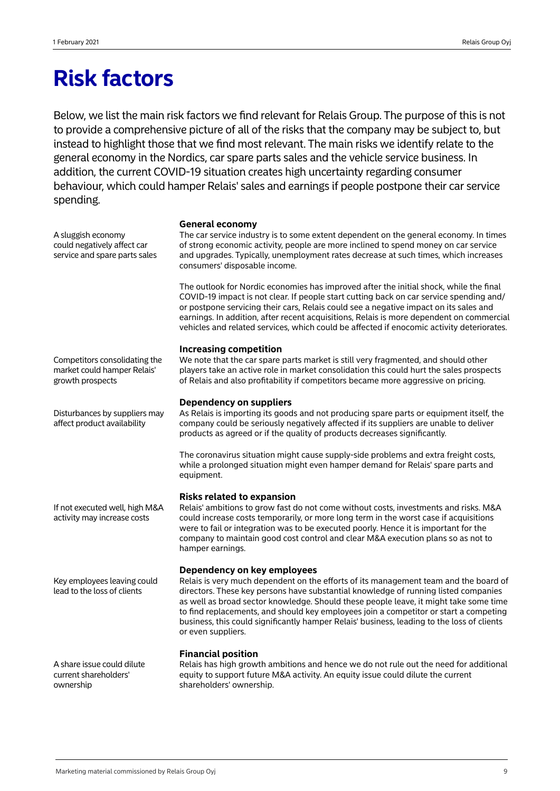## **Risk factors**

Below, we list the main risk factors we find relevant for Relais Group. The purpose of this is not to provide a comprehensive picture of all of the risks that the company may be subject to, but instead to highlight those that we find most relevant. The main risks we identify relate to the general economy in the Nordics, car spare parts sales and the vehicle service business. In addition, the current COVID-19 situation creates high uncertainty regarding consumer behaviour, which could hamper Relais' sales and earnings if people postpone their car service spending.

## **General economy**

| A sluggish economy<br>could negatively affect car<br>service and spare parts sales | The car service industry is to some extent dependent on the general economy. In times<br>of strong economic activity, people are more inclined to spend money on car service<br>and upgrades. Typically, unemployment rates decrease at such times, which increases<br>consumers' disposable income.                                                                                                                                                                                                             |
|------------------------------------------------------------------------------------|------------------------------------------------------------------------------------------------------------------------------------------------------------------------------------------------------------------------------------------------------------------------------------------------------------------------------------------------------------------------------------------------------------------------------------------------------------------------------------------------------------------|
|                                                                                    | The outlook for Nordic economies has improved after the initial shock, while the final<br>COVID-19 impact is not clear. If people start cutting back on car service spending and/<br>or postpone servicing their cars, Relais could see a negative impact on its sales and<br>earnings. In addition, after recent acquisitions, Relais is more dependent on commercial<br>vehicles and related services, which could be affected if enocomic activity deteriorates.                                              |
| Competitors consolidating the<br>market could hamper Relais'<br>growth prospects   | <b>Increasing competition</b><br>We note that the car spare parts market is still very fragmented, and should other<br>players take an active role in market consolidation this could hurt the sales prospects<br>of Relais and also profitability if competitors became more aggressive on pricing.                                                                                                                                                                                                             |
| Disturbances by suppliers may<br>affect product availability                       | <b>Dependency on suppliers</b><br>As Relais is importing its goods and not producing spare parts or equipment itself, the<br>company could be seriously negatively affected if its suppliers are unable to deliver<br>products as agreed or if the quality of products decreases significantly.                                                                                                                                                                                                                  |
|                                                                                    | The coronavirus situation might cause supply-side problems and extra freight costs,<br>while a prolonged situation might even hamper demand for Relais' spare parts and<br>equipment.                                                                                                                                                                                                                                                                                                                            |
| If not executed well, high M&A<br>activity may increase costs                      | <b>Risks related to expansion</b><br>Relais' ambitions to grow fast do not come without costs, investments and risks. M&A<br>could increase costs temporarily, or more long term in the worst case if acquisitions<br>were to fail or integration was to be executed poorly. Hence it is important for the<br>company to maintain good cost control and clear M&A execution plans so as not to<br>hamper earnings.                                                                                               |
| Key employees leaving could<br>lead to the loss of clients                         | Dependency on key employees<br>Relais is very much dependent on the efforts of its management team and the board of<br>directors. These key persons have substantial knowledge of running listed companies<br>as well as broad sector knowledge. Should these people leave, it might take some time<br>to find replacements, and should key employees join a competitor or start a competing<br>business, this could significantly hamper Relais' business, leading to the loss of clients<br>or even suppliers. |
| A share issue could dilute<br>current shareholders'<br>ownership                   | <b>Financial position</b><br>Relais has high growth ambitions and hence we do not rule out the need for additional<br>equity to support future M&A activity. An equity issue could dilute the current<br>shareholders' ownership.                                                                                                                                                                                                                                                                                |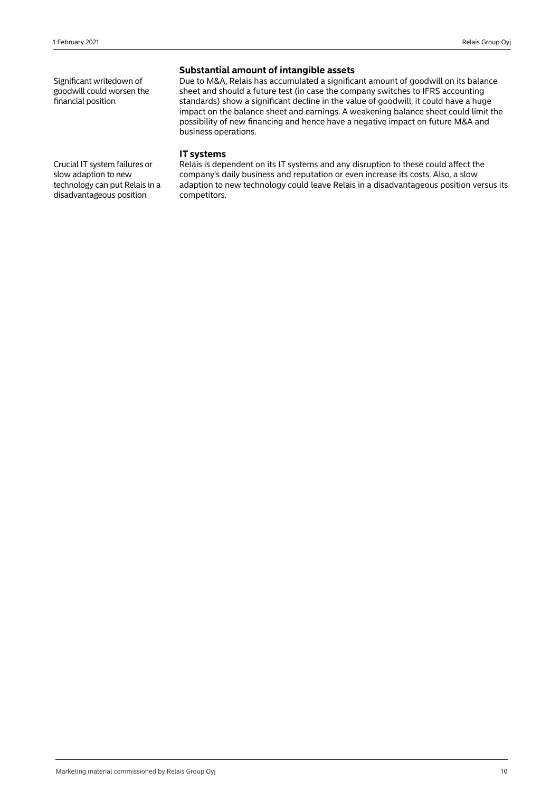Significant writedown of goodwill could worsen the financial position

## **Substantial amount of intangible assets**

Due to M&A, Relais has accumulated a significant amount of goodwill on its balance sheet and should a future test (in case the company switches to IFRS accounting standards) show a significant decline in the value of goodwill, it could have a huge impact on the balance sheet and earnings. A weakening balance sheet could limit the possibility of new financing and hence have a negative impact on future M&A and business operations.

## **IT systems**

Relais is dependent on its IT systems and any disruption to these could affect the company's daily business and reputation or even increase its costs. Also, a slow adaption to new technology could leave Relais in a disadvantageous position versus its competitors.

Crucial IT system failures or slow adaption to new technology can put Relais in a disadvantageous position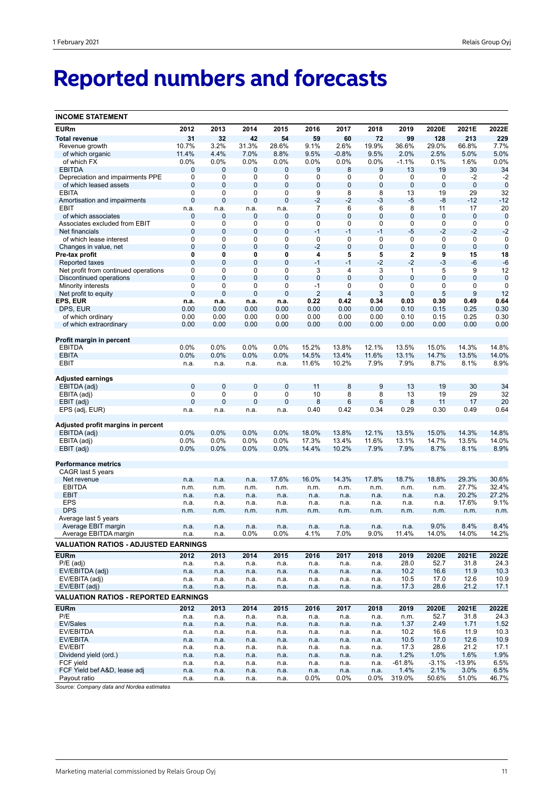# **Reported numbers and forecasts**

| <b>INCOME STATEMENT</b>                         |                            |              |                  |              |                |                |                            |                |              |                |                     |
|-------------------------------------------------|----------------------------|--------------|------------------|--------------|----------------|----------------|----------------------------|----------------|--------------|----------------|---------------------|
| <b>EURm</b>                                     | 2012                       | 2013         | 2014             | 2015         | 2016           | 2017           | 2018                       | 2019           | 2020E        | 2021E          | 2022E               |
| <b>Total revenue</b>                            | 31                         | 32           | 42               | 54           | 59             | 60             | 72                         | 99             | 128          | 213            | 229                 |
| Revenue growth                                  | 10.7%                      | 3.2%         | 31.3%            | 28.6%        | 9.1%           | 2.6%           | 19.9%                      | 36.6%          | 29.0%        | 66.8%          | 7.7%                |
| of which organic                                | 11.4%                      | 4.4%         | 7.0%             | 8.8%         | 9.5%           | $-0.8%$        | 9.5%                       | 2.0%           | 2.5%         | 5.0%           | 5.0%                |
| of which FX                                     | 0.0%                       | 0.0%         | 0.0%             | $0.0\%$      | 0.0%           | 0.0%           | $0.0\%$                    | $-1.1%$        | 0.1%         | 1.6%           | 0.0%                |
| <b>EBITDA</b>                                   | $\mathbf 0$                | 0            | 0                | 0            | 9              | 8              | 9                          | 13             | 19           | 30             | 34                  |
| Depreciation and impairments PPE                | 0                          | 0            | 0                | 0            | 0              | 0              | 0                          | 0              | 0            | -2             | $-2$                |
| of which leased assets                          | $\mathbf 0$                | 0            | $\mathbf 0$      | 0            | 0              | $\mathbf 0$    | $\mathbf 0$                | $\mathbf 0$    | 0            | $\mathbf 0$    | $\mathbf 0$         |
| <b>EBITA</b>                                    | 0                          | 0            | 0                | 0            | 9              | 8              | 8                          | 13             | 19           | 29             | 32                  |
| Amortisation and impairments                    | $\mathbf 0$                | 0            | $\mathbf 0$      | 0            | -2             | $-2$           | $-3$                       | $-5$           | -8           | -12            | $-12$               |
| EBIT                                            | n.a.                       | n.a.         | n.a.             | n.a.         | 7              | 6              | 6                          | 8              | 11           | 17             | 20                  |
| of which associates                             | $\mathbf 0$<br>$\mathbf 0$ | 0            | 0                | 0            | 0              | $\mathbf 0$    | $\mathbf 0$<br>$\mathbf 0$ | 0              | 0            | 0              | $\mathbf 0$         |
| Associates excluded from EBIT<br>Net financials | $\mathbf 0$                | 0<br>0       | 0<br>$\mathbf 0$ | 0<br>0       | 0<br>$-1$      | 0<br>$-1$      | $-1$                       | 0<br>$-5$      | 0<br>$-2$    | 0<br>$-2$      | $\mathbf 0$<br>$-2$ |
| of which lease interest                         | $\mathbf 0$                | 0            | 0                | 0            | $\mathbf 0$    | 0              | $\mathbf 0$                | 0              | 0            | $\mathbf 0$    | $\mathbf 0$         |
| Changes in value, net                           | $\mathbf 0$                | 0            | $\mathbf 0$      | 0            | $-2$           | $\pmb{0}$      | $\mathbf 0$                | $\mathbf 0$    | 0            | $\mathbf 0$    | $\mathbf 0$         |
| Pre-tax profit                                  | 0                          | 0            | 0                | 0            | 4              | 5              | 5                          | $\mathbf 2$    | 9            | 15             | 18                  |
| Reported taxes                                  | $\mathbf 0$                | 0            | $\mathbf 0$      | 0            | $-1$           | $-1$           | $-2$                       | $-2$           | -3           | $-6$           | $-6$                |
| Net profit from continued operations            | 0                          | 0            | 0                | 0            | 3              | 4              | 3                          | $\mathbf{1}$   | 5            | 9              | 12                  |
| Discontinued operations                         | $\mathbf 0$                | 0            | $\overline{0}$   | $\mathbf 0$  | $\overline{0}$ | $\mathbf 0$    | $\overline{0}$             | $\overline{0}$ | 0            | $\mathbf{0}$   | $\mathbf 0$         |
| <b>Minority interests</b>                       | $\mathbf 0$                | 0            | 0                | 0            | $-1$           | $\mathbf 0$    | $\mathbf 0$                | $\mathbf 0$    | 0            | $\mathbf 0$    | $\mathbf 0$         |
| Net profit to equity                            | $\mathbf{0}$               | 0            | 0                | 0            | $\overline{2}$ | 4              | 3                          | $\mathbf{0}$   | 5            | 9              | 12                  |
| EPS, EUR                                        | n.a.                       | n.a.         | n.a.             | n.a.         | 0.22           | 0.42           | 0.34                       | 0.03           | 0.30         | 0.49           | 0.64                |
| DPS, EUR                                        | 0.00                       | 0.00         | 0.00             | 0.00         | 0.00           | 0.00           | 0.00                       | 0.10           | 0.15         | 0.25           | 0.30                |
| of which ordinary                               | 0.00                       | 0.00         | 0.00             | 0.00         | 0.00           | 0.00           | 0.00                       | 0.10           | 0.15         | 0.25           | 0.30                |
| of which extraordinary                          | 0.00                       | 0.00         | 0.00             | 0.00         | 0.00           | 0.00           | 0.00                       | 0.00           | 0.00         | 0.00           | 0.00                |
|                                                 |                            |              |                  |              |                |                |                            |                |              |                |                     |
| Profit margin in percent<br><b>EBITDA</b>       | 0.0%                       | 0.0%         | 0.0%             | 0.0%         | 15.2%          | 13.8%          | 12.1%                      | 13.5%          | 15.0%        | 14.3%          | 14.8%               |
| <b>EBITA</b>                                    | 0.0%                       | 0.0%         | 0.0%             | 0.0%         | 14.5%          | 13.4%          | 11.6%                      | 13.1%          | 14.7%        | 13.5%          | 14.0%               |
| EBIT                                            | n.a.                       | n.a.         | n.a.             | n.a.         | 11.6%          | 10.2%          | 7.9%                       | 7.9%           | 8.7%         | 8.1%           | 8.9%                |
|                                                 |                            |              |                  |              |                |                |                            |                |              |                |                     |
| Adjusted earnings                               |                            |              |                  |              |                |                |                            |                |              |                |                     |
| EBITDA (adj)                                    | $\mathbf 0$                | 0            | $\mathbf 0$      | 0            | 11             | 8              | 9                          | 13             | 19           | 30             | 34                  |
| EBITA (adj)                                     | $\mathbf 0$                | 0            | 0                | 0            | 10             | 8              | 8                          | 13             | 19           | 29             | 32                  |
| EBIT (adj)                                      | $\mathbf{0}$               | 0            | $\mathbf 0$      | $\mathbf 0$  | 8              | $6\phantom{1}$ | $6\phantom{1}6$            | 8              | 11           | 17             | 20                  |
| EPS (adj, EUR)                                  | n.a.                       | n.a.         | n.a.             | n.a.         | 0.40           | 0.42           | 0.34                       | 0.29           | 0.30         | 0.49           | 0.64                |
| Adjusted profit margins in percent              |                            |              |                  |              |                |                |                            |                |              |                |                     |
| EBITDA (adj)                                    | 0.0%                       | 0.0%         | 0.0%             | 0.0%         | 18.0%          | 13.8%          | 12.1%                      | 13.5%          | 15.0%        | 14.3%          | 14.8%               |
| EBITA (adj)                                     | 0.0%                       | 0.0%         | 0.0%             | $0.0\%$      | 17.3%          | 13.4%          | 11.6%                      | 13.1%          | 14.7%        | 13.5%          | 14.0%               |
| EBIT (adj)                                      | 0.0%                       | 0.0%         | 0.0%             | 0.0%         | 14.4%          | 10.2%          | 7.9%                       | 7.9%           | 8.7%         | 8.1%           | 8.9%                |
|                                                 |                            |              |                  |              |                |                |                            |                |              |                |                     |
| <b>Performance metrics</b>                      |                            |              |                  |              |                |                |                            |                |              |                |                     |
| CAGR last 5 years                               |                            |              |                  |              |                |                |                            |                |              |                |                     |
| Net revenue                                     | n.a.                       | n.a.         | n.a.             | 17.6%        | 16.0%          | 14.3%          | 17.8%                      | 18.7%          | 18.8%        | 29.3%<br>27.7% | 30.6%               |
| <b>EBITDA</b><br><b>EBIT</b>                    | n.m.                       | n.m.         | n.m.             | n.m.         | n.m.           | n.m.           | n.m.                       | n.m.           | n.m.         | 20.2%          | 32.4%<br>27.2%      |
| <b>EPS</b>                                      | n.a.<br>n.a.               | n.a.<br>n.a. | n.a.<br>n.a.     | n.a.<br>n.a. | n.a.<br>n.a.   | n.a.<br>n.a.   | n.a.<br>n.a.               | n.a.<br>n.a.   | n.a.<br>n.a. | 17.6%          | 9.1%                |
| <b>DPS</b>                                      | n.m.                       | n.m.         | n.m.             | n.m.         | n.m.           | n.m.           | n.m.                       | n.m.           | n.m.         | n.m.           | n.m.                |
| Average last 5 years                            |                            |              |                  |              |                |                |                            |                |              |                |                     |
| Average EBIT margin                             | n.a.                       | n.a.         | n.a.             | n.a.         | n.a.           | n.a.           | n.a.                       | n.a.           | 9.0%         | 8.4%           | 8.4%                |
| Average EBITDA margin                           | n.a.                       | 11.a.        | 0.0%             | 0.0%         | 4.1%           | 7.0%           | 9.0%                       | 11.4%          | 14.0%        | 14.0%          | 14.2%               |
| <b>VALUATION RATIOS - ADJUSTED EARNINGS</b>     |                            |              |                  |              |                |                |                            |                |              |                |                     |
| <b>EURm</b>                                     | 2012                       | 2013         | 2014             | 2015         | 2016           | 2017           | 2018                       | 2019           | 2020E        | 2021E          | 2022E               |
| $P/E$ (adj)                                     | n.a.                       | n.a.         | n.a.             | n.a.         | n.a.           | n.a.           | n.a.                       | 28.0           | 52.7         | 31.8           | 24.3                |
| EV/EBITDA (adj)                                 | n.a.                       | n.a.         | n.a.             | n.a.         | n.a.           | n.a.           | n.a.                       | 10.2           | 16.6         | 11.9           | 10.3                |
| EV/EBITA (adj)                                  | n.a.                       | n.a.         | n.a.             | n.a.         | n.a.           | n.a.           | n.a.                       | 10.5           | 17.0         | 12.6           | 10.9                |
| EV/EBIT (adj)                                   | n.a.                       | n.a.         | n.a.             | n.a.         | n.a.           | n.a.           | n.a.                       | 17.3           | 28.6         | 21.2           | 17.1                |
| <b>VALUATION RATIOS - REPORTED EARNINGS</b>     |                            |              |                  |              |                |                |                            |                |              |                |                     |
| <b>EURm</b>                                     | 2012                       | 2013         | 2014             | 2015         | 2016           | 2017           | 2018                       | 2019           | 2020E        | 2021E          | 2022E               |
| P/E                                             | n.a.                       | n.a.         | n.a.             | n.a.         | n.a.           | n.a.           | n.a.                       | n.m.           | 52.7         | 31.8           | 24.3                |
| EV/Sales                                        | n.a.                       | n.a.         | n.a.             | n.a.         | n.a.           | n.a.           | n.a.                       | 1.37           | 2.49         | 1.71           | 1.52                |
| EV/EBITDA                                       | n.a.                       | n.a.         | n.a.             | n.a.         | n.a.           | n.a.           | n.a.                       | 10.2           | 16.6         | 11.9           | 10.3                |
| EV/EBITA                                        | n.a.                       | n.a.         | n.a.             | n.a.         | n.a.           | n.a.           | n.a.                       | 10.5           | 17.0         | 12.6           | 10.9                |
| EV/EBIT                                         | n.a.                       | n.a.         | n.a.             | n.a.         | n.a.           | n.a.           | n.a.                       | 17.3           | 28.6         | 21.2           | 17.1                |
| Dividend yield (ord.)                           | n.a.                       | n.a.         | n.a.             | n.a.         | n.a.           | n.a.           | n.a.                       | 1.2%           | 1.0%         | 1.6%           | 1.9%                |
| FCF yield                                       | n.a.                       | n.a.         | n.a.             | n.a.         | n.a.           | n.a.           | n.a.                       | $-61.8%$       | $-3.1%$      | $-13.9%$       | 6.5%                |
| FCF Yield bef A&D, lease adj                    | n.a.                       | n.a.         | n.a.             | n.a.         | n.a.           | n.a.           | n.a.                       | 1.4%           | 2.1%         | 3.0%           | 6.5%                |
| Payout ratio                                    | n.a.                       | n.a.         | n.a.             | n.a.         | $0.0\%$        | 0.0%           | $0.0\%$                    | 319.0%         | 50.6%        | 51.0%          | 46.7%               |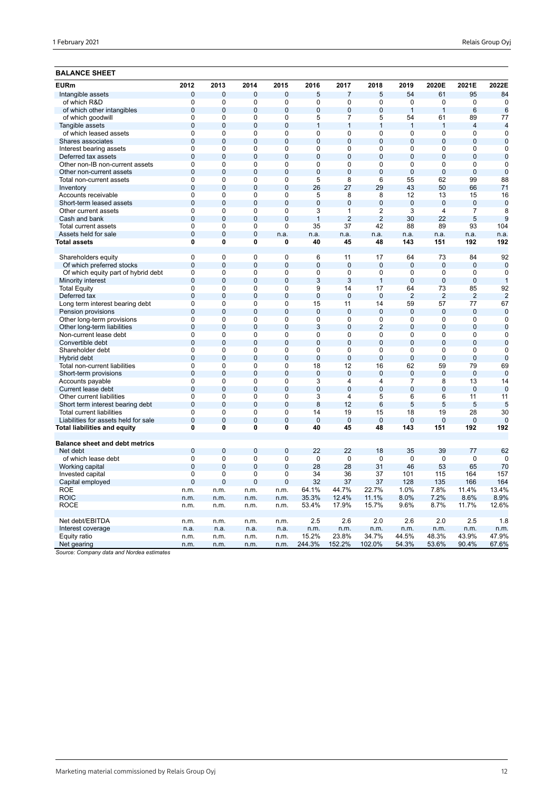## **BALANCE SHEET**

| 0<br>$\overline{7}$<br>5<br>54<br>95<br>$\overline{0}$<br>$\overline{0}$<br>$\mathbf 0$<br>5<br>61<br>Intangible assets<br>$\overline{0}$<br>$\overline{0}$<br>$\overline{0}$<br>$\overline{0}$<br>$\overline{0}$<br>$\overline{0}$<br>$\overline{0}$<br>of which R&D<br>$\mathbf 0$<br>0<br>$\mathbf 0$<br>of which other intangibles<br>$\mathbf 0$<br>$\mathbf 0$<br>0<br>$\mathbf 0$<br>$\overline{0}$<br>0<br>$\mathbf 0$<br>$\mathbf{1}$<br>$\mathbf{1}$<br>6<br>$\overline{0}$<br>54<br>89<br>of which goodwill<br>0<br>0<br>$\mathbf 0$<br>5<br>7<br>5<br>61<br>$\mathbf 0$<br>$\mathbf 0$<br>$\mathbf 0$<br>$\mathbf 0$<br>$\mathbf{1}$<br>$\mathbf{1}$<br>$\mathbf{1}$<br>4<br>Tangible assets<br>1<br>$\mathbf{1}$<br>$\overline{0}$<br>$\overline{0}$<br>$\overline{0}$<br>$\overline{0}$<br>$\overline{0}$<br>of which leased assets<br>$\Omega$<br>$\mathbf 0$<br>0<br>0<br>0<br>$\mathbf{0}$<br>$\overline{0}$<br>$\overline{0}$<br>$\overline{0}$<br>$\Omega$<br>$\Omega$<br>$\overline{0}$<br>$\Omega$<br>$\Omega$<br>$\Omega$<br>Shares associates<br>$\overline{0}$<br>$\overline{0}$<br>$\overline{0}$<br>$\overline{0}$<br>$\overline{0}$<br>0<br>0<br>$\mathbf 0$<br>0<br>0<br>Interest bearing assets<br>$\mathbf{0}$<br>$\overline{0}$<br>$\mathbf 0$<br>$\overline{0}$<br>$\overline{0}$<br>$\overline{0}$<br>$\overline{0}$<br>$\overline{0}$<br>$\Omega$<br>$\overline{0}$<br>Deferred tax assets<br>$\overline{0}$<br>$\overline{0}$<br>$\overline{0}$<br>$\overline{0}$<br>$\overline{0}$<br>$\overline{0}$<br>$\overline{0}$<br>$\overline{0}$<br>$\overline{0}$<br>$\overline{0}$<br>Other non-IB non-current assets<br>$\mathbf 0$<br>$\mathbf 0$<br>$\overline{0}$<br>$\mathbf 0$<br>$\overline{0}$<br>$\overline{0}$<br>$\overline{0}$<br>0<br>$\overline{0}$<br>0<br>Other non-current assets<br>99<br>Total non-current assets<br>0<br>0<br>$\mathbf 0$<br>0<br>5<br>8<br>6<br>55<br>62<br>$\overline{0}$<br>$\mathbf 0$<br>$\overline{0}$<br>$\overline{0}$<br>26<br>27<br>29<br>43<br>50<br>66<br>71<br>Inventory<br>$\overline{0}$<br>$\overline{0}$<br>$\overline{0}$<br>5<br>8<br>Accounts receivable<br>0<br>8<br>12<br>13<br>15<br>$\overline{0}$<br>$\overline{0}$<br>$\overline{0}$<br>$\overline{0}$<br>$\overline{0}$<br>$\overline{0}$<br>$\overline{0}$<br>$\overline{0}$<br>$\overline{0}$<br>$\mathbf{0}$<br>Short-term leased assets<br>$\overline{0}$<br>$\overline{0}$<br>$\overline{0}$<br>$\overline{0}$<br>3<br>$\overline{1}$<br>$\overline{2}$<br>$\overline{3}$<br>$\overline{7}$<br>4<br>Other current assets<br>$\overline{0}$<br>$\overline{0}$<br>$\overline{2}$<br>$\overline{2}$<br>30<br>22<br>5<br>$\mathbf 0$<br>$\overline{0}$<br>Cash and bank<br>$\mathbf{1}$<br>$\overline{0}$<br>$\overline{0}$<br>$\overline{0}$<br>$\overline{0}$<br>35<br>37<br>42<br>88<br>89<br>93<br>104<br>Total current assets<br>Assets held for sale<br>$\mathbf 0$<br>$\mathbf 0$<br>$\mathbf 0$<br>n.a.<br>n.a.<br>n.a.<br>n.a.<br>n.a.<br>n.a.<br>n.a.<br>n.a.<br>$\overline{0}$<br>$\overline{0}$<br>192<br>Total assets<br>0<br>0<br>40<br>45<br>48<br>143<br>151<br>192<br>$\overline{0}$<br>$\overline{0}$<br>$\overline{0}$<br>$6\overline{6}$<br>84<br>Shareholders equity<br>0<br>11<br>17<br>64<br>73<br>$\overline{0}$<br>$\overline{0}$<br>$\overline{0}$<br>$\overline{0}$<br>$\overline{0}$<br>$\overline{0}$<br>$\overline{0}$<br>Of which preferred stocks<br>$\overline{0}$<br>$\mathbf{0}$<br>$\mathbf{0}$<br>$\mathbf 0$<br>0<br>$\mathbf 0$<br>0<br>0<br>$\mathbf 0$<br>0<br>$\mathbf 0$<br>0<br>$\mathbf 0$<br>Of which equity part of hybrid debt<br>$\overline{0}$<br>$\overline{0}$<br>$\overline{0}$<br>$\overline{0}$<br>3<br>3<br>$\overline{1}$<br>$\overline{0}$<br>$\overline{0}$<br>$\overline{0}$<br>Minority interest<br>$\mathbf 0$<br>0<br>$\mathbf 0$<br>0<br>9<br>14<br>17<br>64<br>73<br>85<br><b>Total Equity</b><br>$\overline{0}$<br>$\overline{2}$<br>$\overline{2}$<br>Deferred tax<br>$\overline{0}$<br>$\overline{0}$<br>$\overline{0}$<br>$\overline{0}$<br>$\overline{0}$<br>$\Omega$<br>$\overline{2}$<br>$\mathbf 0$<br>$\mathbf 0$<br>0<br>15<br>59<br>77<br>Long term interest bearing debt<br>0<br>11<br>14<br>57<br>$\overline{0}$<br>$\overline{0}$<br>$\overline{0}$<br>$\overline{0}$<br>Pension provisions<br>$\overline{0}$<br>$\overline{0}$<br>$\overline{0}$<br>$\overline{0}$<br>$\overline{0}$<br>$\mathbf{0}$<br>$\mathbf 0$<br>$\Omega$<br>0<br>$\Omega$<br>$\Omega$<br>0<br>$\mathbf 0$<br>$\mathbf 0$<br>Other long-term provisions<br>0<br>$\Omega$<br>$\overline{0}$<br>$\overline{0}$<br>$\overline{0}$<br>$\overline{2}$<br>$\overline{0}$<br>Other long-term liabilities<br>$\overline{0}$<br>$\overline{0}$<br>3<br>$\overline{0}$<br>$\mathbf{0}$<br>$\overline{0}$<br>$\overline{0}$<br>$\overline{0}$<br>Non-current lease debt<br>0<br>0<br>$\Omega$<br>$\Omega$<br>$\Omega$<br>$\Omega$<br>$\Omega$<br>$\Omega$<br>$\overline{0}$<br>$\overline{0}$<br>$\overline{0}$<br>$\overline{0}$<br>$\overline{0}$<br>$\overline{0}$<br>$\overline{0}$<br>$\overline{0}$<br>$\overline{0}$<br>$\overline{0}$<br>$\mathbf 0$<br>Convertible debt<br>0<br>0<br>0<br>0<br>0<br>0<br>0<br>0<br>0<br>0<br>$\mathbf 0$<br>Shareholder debt<br>$\overline{0}$<br>$\overline{0}$<br>$\overline{0}$<br>$\overline{0}$<br>$\overline{0}$<br>$\overline{0}$<br>$\overline{0}$<br>$\overline{0}$<br>$\overline{0}$<br>$\overline{0}$<br>$\overline{0}$<br>Hybrid debt<br>0<br>$\Omega$<br>0<br>18<br>12<br>16<br>62<br>59<br>79<br>69<br>Total non-current liabilities<br>0<br>$\mathbf 0$<br>$\overline{0}$<br>$\overline{0}$<br>$\overline{0}$<br>$\overline{0}$<br>$\overline{0}$<br>$\overline{0}$<br>$\mathbf 0$<br>$\overline{0}$<br>Short-term provisions<br>$\mathbf{0}$<br>$\overline{0}$<br>$\Omega$<br>$\Omega$<br>$\Omega$<br>0<br>3<br>4<br>$\overline{7}$<br>13<br>14<br>Accounts payable<br>4<br>8<br>$\overline{0}$<br>$\overline{0}$<br>$\overline{0}$<br>$\overline{0}$<br>$\overline{0}$<br>$\overline{0}$<br>$\Omega$<br>$\overline{0}$<br>$\overline{0}$<br>$\overline{0}$<br>$\overline{0}$<br>Current lease debt<br>0<br>0<br>$\mathbf 0$<br>0<br>3<br>5<br>6<br>11<br>11<br>Other current liabilities<br>4<br>6<br>$\overline{0}$<br>$\overline{0}$<br>$\overline{0}$<br>8<br>6<br>5<br>$\overline{0}$<br>12<br>5<br>5<br>5<br>Short term interest bearing debt<br>0<br>0<br>0<br>0<br>14<br>19<br>15<br>18<br>19<br>28<br>30<br><b>Total current liabilities</b><br>$\overline{0}$<br>$\overline{0}$<br>$\overline{0}$<br>$\overline{0}$<br>$\overline{0}$<br>$\overline{0}$<br>$\overline{0}$<br>$\overline{0}$<br>$\overline{0}$<br>$\overline{0}$<br>$\overline{0}$<br>Liabilities for assets held for sale<br>$\bf{0}$<br>0<br>0<br>0<br>40<br>45<br>48<br>143<br>192<br>Total liabilities and equity<br>151<br><b>Balance sheet and debt metrics</b><br>$\mathbf{0}$<br>$\Omega$<br>$\Omega$<br>$\mathbf{0}$<br>22<br>22<br>35<br>39<br>77<br>62<br>Net debt<br>18<br>$\mathbf 0$<br>$\mathbf 0$<br>0<br>$\mathbf 0$<br>$\mathbf 0$<br>$\mathbf 0$<br>$\mathbf 0$<br>$\mathbf 0$<br>$\mathbf 0$<br>$\mathbf 0$<br>$\mathbf 0$<br>of which lease debt<br>28<br>$\mathbf{0}$<br>$\mathbf{0}$<br>0<br>$\mathbf{0}$<br>28<br>31<br>46<br>53<br>65<br>70<br>Working capital<br>$\mathbf 0$<br>0<br>$\mathbf 0$<br>34<br>101<br>164<br>0<br>36<br>37<br>115<br>157<br>Invested capital<br>$\mathbf{0}$<br>$\mathbf{0}$<br>0<br>$\mathbf 0$<br>32<br>37<br>37<br>128<br>135<br>166<br>164<br>Capital employed<br>44.7%<br>7.8%<br>13.4%<br><b>ROE</b><br>64.1%<br>22.7%<br>1.0%<br>11.4%<br>n.m.<br>n.m.<br>n.m.<br>n.m.<br><b>ROIC</b><br>12.4%<br>8.0%<br>7.2%<br>8.6%<br>8.9%<br>35.3%<br>11.1%<br>n.m.<br>n.m.<br>n.m.<br>n.m.<br><b>ROCE</b><br>53.4%<br>17.9%<br>15.7%<br>9.6%<br>8.7%<br>11.7%<br>12.6%<br>n.m.<br>n.m.<br>n.m.<br>n.m. | <b>EURm</b>     | 2012 | 2013 | 2014 | 2015 | 2016 | 2017 | 2018 | 2019 | 2020E | 2021E | 2022E          |
|-------------------------------------------------------------------------------------------------------------------------------------------------------------------------------------------------------------------------------------------------------------------------------------------------------------------------------------------------------------------------------------------------------------------------------------------------------------------------------------------------------------------------------------------------------------------------------------------------------------------------------------------------------------------------------------------------------------------------------------------------------------------------------------------------------------------------------------------------------------------------------------------------------------------------------------------------------------------------------------------------------------------------------------------------------------------------------------------------------------------------------------------------------------------------------------------------------------------------------------------------------------------------------------------------------------------------------------------------------------------------------------------------------------------------------------------------------------------------------------------------------------------------------------------------------------------------------------------------------------------------------------------------------------------------------------------------------------------------------------------------------------------------------------------------------------------------------------------------------------------------------------------------------------------------------------------------------------------------------------------------------------------------------------------------------------------------------------------------------------------------------------------------------------------------------------------------------------------------------------------------------------------------------------------------------------------------------------------------------------------------------------------------------------------------------------------------------------------------------------------------------------------------------------------------------------------------------------------------------------------------------------------------------------------------------------------------------------------------------------------------------------------------------------------------------------------------------------------------------------------------------------------------------------------------------------------------------------------------------------------------------------------------------------------------------------------------------------------------------------------------------------------------------------------------------------------------------------------------------------------------------------------------------------------------------------------------------------------------------------------------------------------------------------------------------------------------------------------------------------------------------------------------------------------------------------------------------------------------------------------------------------------------------------------------------------------------------------------------------------------------------------------------------------------------------------------------------------------------------------------------------------------------------------------------------------------------------------------------------------------------------------------------------------------------------------------------------------------------------------------------------------------------------------------------------------------------------------------------------------------------------------------------------------------------------------------------------------------------------------------------------------------------------------------------------------------------------------------------------------------------------------------------------------------------------------------------------------------------------------------------------------------------------------------------------------------------------------------------------------------------------------------------------------------------------------------------------------------------------------------------------------------------------------------------------------------------------------------------------------------------------------------------------------------------------------------------------------------------------------------------------------------------------------------------------------------------------------------------------------------------------------------------------------------------------------------------------------------------------------------------------------------------------------------------------------------------------------------------------------------------------------------------------------------------------------------------------------------------------------------------------------------------------------------------------------------------------------------------------------------------------------------------------------------------------------------------------------------------------------------------------------------------------------------------------------------------------------------------------------------------------------------------------------------------------------------------------------------------------------------------------------------------------------------------------------------------------------------------------------------------------------------------------------------------------------------------------------------------------------------------------------------------------------------------------------------------------------------------------------------------------------------------------------------------------------------------------------------------------------------------------------------------------------------------------------------------------------------------------------------------------------------------------------------------------------------------------------------------------------------------------------------------------------------------------------------------------------------------------------------------------------------------------------------------------------------------------------------------------------------------------------------------------------------------------------------------------------------------------------------------------------------------------------------------------------------------------------------------------------------------------------------------------------------------------------------------------------------------------------------------------------------------------------------------------------------------------------------------------------------------------------------------------------------------------------------------------------------------------------------------------------------------------------------------------------------------------------------------------------------------------------|-----------------|------|------|------|------|------|------|------|------|-------|-------|----------------|
|                                                                                                                                                                                                                                                                                                                                                                                                                                                                                                                                                                                                                                                                                                                                                                                                                                                                                                                                                                                                                                                                                                                                                                                                                                                                                                                                                                                                                                                                                                                                                                                                                                                                                                                                                                                                                                                                                                                                                                                                                                                                                                                                                                                                                                                                                                                                                                                                                                                                                                                                                                                                                                                                                                                                                                                                                                                                                                                                                                                                                                                                                                                                                                                                                                                                                                                                                                                                                                                                                                                                                                                                                                                                                                                                                                                                                                                                                                                                                                                                                                                                                                                                                                                                                                                                                                                                                                                                                                                                                                                                                                                                                                                                                                                                                                                                                                                                                                                                                                                                                                                                                                                                                                                                                                                                                                                                                                                                                                                                                                                                                                                                                                                                                                                                                                                                                                                                                                                                                                                                                                                                                                                                                                                                                                                                                                                                                                                                                                                                                                                                                                                                                                                                                                                                                                                                                                                                                                                                                                                                                                                                                                                                                                                                                                                                                                                                                                                                                                                                                                                                                                                                                                                                                                                                                                                                                                                                                     |                 |      |      |      |      |      |      |      |      |       |       | 84             |
|                                                                                                                                                                                                                                                                                                                                                                                                                                                                                                                                                                                                                                                                                                                                                                                                                                                                                                                                                                                                                                                                                                                                                                                                                                                                                                                                                                                                                                                                                                                                                                                                                                                                                                                                                                                                                                                                                                                                                                                                                                                                                                                                                                                                                                                                                                                                                                                                                                                                                                                                                                                                                                                                                                                                                                                                                                                                                                                                                                                                                                                                                                                                                                                                                                                                                                                                                                                                                                                                                                                                                                                                                                                                                                                                                                                                                                                                                                                                                                                                                                                                                                                                                                                                                                                                                                                                                                                                                                                                                                                                                                                                                                                                                                                                                                                                                                                                                                                                                                                                                                                                                                                                                                                                                                                                                                                                                                                                                                                                                                                                                                                                                                                                                                                                                                                                                                                                                                                                                                                                                                                                                                                                                                                                                                                                                                                                                                                                                                                                                                                                                                                                                                                                                                                                                                                                                                                                                                                                                                                                                                                                                                                                                                                                                                                                                                                                                                                                                                                                                                                                                                                                                                                                                                                                                                                                                                                                                     |                 |      |      |      |      |      |      |      |      |       |       | $\overline{0}$ |
|                                                                                                                                                                                                                                                                                                                                                                                                                                                                                                                                                                                                                                                                                                                                                                                                                                                                                                                                                                                                                                                                                                                                                                                                                                                                                                                                                                                                                                                                                                                                                                                                                                                                                                                                                                                                                                                                                                                                                                                                                                                                                                                                                                                                                                                                                                                                                                                                                                                                                                                                                                                                                                                                                                                                                                                                                                                                                                                                                                                                                                                                                                                                                                                                                                                                                                                                                                                                                                                                                                                                                                                                                                                                                                                                                                                                                                                                                                                                                                                                                                                                                                                                                                                                                                                                                                                                                                                                                                                                                                                                                                                                                                                                                                                                                                                                                                                                                                                                                                                                                                                                                                                                                                                                                                                                                                                                                                                                                                                                                                                                                                                                                                                                                                                                                                                                                                                                                                                                                                                                                                                                                                                                                                                                                                                                                                                                                                                                                                                                                                                                                                                                                                                                                                                                                                                                                                                                                                                                                                                                                                                                                                                                                                                                                                                                                                                                                                                                                                                                                                                                                                                                                                                                                                                                                                                                                                                                                     |                 |      |      |      |      |      |      |      |      |       |       | 6              |
|                                                                                                                                                                                                                                                                                                                                                                                                                                                                                                                                                                                                                                                                                                                                                                                                                                                                                                                                                                                                                                                                                                                                                                                                                                                                                                                                                                                                                                                                                                                                                                                                                                                                                                                                                                                                                                                                                                                                                                                                                                                                                                                                                                                                                                                                                                                                                                                                                                                                                                                                                                                                                                                                                                                                                                                                                                                                                                                                                                                                                                                                                                                                                                                                                                                                                                                                                                                                                                                                                                                                                                                                                                                                                                                                                                                                                                                                                                                                                                                                                                                                                                                                                                                                                                                                                                                                                                                                                                                                                                                                                                                                                                                                                                                                                                                                                                                                                                                                                                                                                                                                                                                                                                                                                                                                                                                                                                                                                                                                                                                                                                                                                                                                                                                                                                                                                                                                                                                                                                                                                                                                                                                                                                                                                                                                                                                                                                                                                                                                                                                                                                                                                                                                                                                                                                                                                                                                                                                                                                                                                                                                                                                                                                                                                                                                                                                                                                                                                                                                                                                                                                                                                                                                                                                                                                                                                                                                                     |                 |      |      |      |      |      |      |      |      |       |       | 77             |
|                                                                                                                                                                                                                                                                                                                                                                                                                                                                                                                                                                                                                                                                                                                                                                                                                                                                                                                                                                                                                                                                                                                                                                                                                                                                                                                                                                                                                                                                                                                                                                                                                                                                                                                                                                                                                                                                                                                                                                                                                                                                                                                                                                                                                                                                                                                                                                                                                                                                                                                                                                                                                                                                                                                                                                                                                                                                                                                                                                                                                                                                                                                                                                                                                                                                                                                                                                                                                                                                                                                                                                                                                                                                                                                                                                                                                                                                                                                                                                                                                                                                                                                                                                                                                                                                                                                                                                                                                                                                                                                                                                                                                                                                                                                                                                                                                                                                                                                                                                                                                                                                                                                                                                                                                                                                                                                                                                                                                                                                                                                                                                                                                                                                                                                                                                                                                                                                                                                                                                                                                                                                                                                                                                                                                                                                                                                                                                                                                                                                                                                                                                                                                                                                                                                                                                                                                                                                                                                                                                                                                                                                                                                                                                                                                                                                                                                                                                                                                                                                                                                                                                                                                                                                                                                                                                                                                                                                                     |                 |      |      |      |      |      |      |      |      |       |       | $\overline{4}$ |
|                                                                                                                                                                                                                                                                                                                                                                                                                                                                                                                                                                                                                                                                                                                                                                                                                                                                                                                                                                                                                                                                                                                                                                                                                                                                                                                                                                                                                                                                                                                                                                                                                                                                                                                                                                                                                                                                                                                                                                                                                                                                                                                                                                                                                                                                                                                                                                                                                                                                                                                                                                                                                                                                                                                                                                                                                                                                                                                                                                                                                                                                                                                                                                                                                                                                                                                                                                                                                                                                                                                                                                                                                                                                                                                                                                                                                                                                                                                                                                                                                                                                                                                                                                                                                                                                                                                                                                                                                                                                                                                                                                                                                                                                                                                                                                                                                                                                                                                                                                                                                                                                                                                                                                                                                                                                                                                                                                                                                                                                                                                                                                                                                                                                                                                                                                                                                                                                                                                                                                                                                                                                                                                                                                                                                                                                                                                                                                                                                                                                                                                                                                                                                                                                                                                                                                                                                                                                                                                                                                                                                                                                                                                                                                                                                                                                                                                                                                                                                                                                                                                                                                                                                                                                                                                                                                                                                                                                                     |                 |      |      |      |      |      |      |      |      |       |       | $\overline{0}$ |
|                                                                                                                                                                                                                                                                                                                                                                                                                                                                                                                                                                                                                                                                                                                                                                                                                                                                                                                                                                                                                                                                                                                                                                                                                                                                                                                                                                                                                                                                                                                                                                                                                                                                                                                                                                                                                                                                                                                                                                                                                                                                                                                                                                                                                                                                                                                                                                                                                                                                                                                                                                                                                                                                                                                                                                                                                                                                                                                                                                                                                                                                                                                                                                                                                                                                                                                                                                                                                                                                                                                                                                                                                                                                                                                                                                                                                                                                                                                                                                                                                                                                                                                                                                                                                                                                                                                                                                                                                                                                                                                                                                                                                                                                                                                                                                                                                                                                                                                                                                                                                                                                                                                                                                                                                                                                                                                                                                                                                                                                                                                                                                                                                                                                                                                                                                                                                                                                                                                                                                                                                                                                                                                                                                                                                                                                                                                                                                                                                                                                                                                                                                                                                                                                                                                                                                                                                                                                                                                                                                                                                                                                                                                                                                                                                                                                                                                                                                                                                                                                                                                                                                                                                                                                                                                                                                                                                                                                                     |                 |      |      |      |      |      |      |      |      |       |       | $\Omega$       |
|                                                                                                                                                                                                                                                                                                                                                                                                                                                                                                                                                                                                                                                                                                                                                                                                                                                                                                                                                                                                                                                                                                                                                                                                                                                                                                                                                                                                                                                                                                                                                                                                                                                                                                                                                                                                                                                                                                                                                                                                                                                                                                                                                                                                                                                                                                                                                                                                                                                                                                                                                                                                                                                                                                                                                                                                                                                                                                                                                                                                                                                                                                                                                                                                                                                                                                                                                                                                                                                                                                                                                                                                                                                                                                                                                                                                                                                                                                                                                                                                                                                                                                                                                                                                                                                                                                                                                                                                                                                                                                                                                                                                                                                                                                                                                                                                                                                                                                                                                                                                                                                                                                                                                                                                                                                                                                                                                                                                                                                                                                                                                                                                                                                                                                                                                                                                                                                                                                                                                                                                                                                                                                                                                                                                                                                                                                                                                                                                                                                                                                                                                                                                                                                                                                                                                                                                                                                                                                                                                                                                                                                                                                                                                                                                                                                                                                                                                                                                                                                                                                                                                                                                                                                                                                                                                                                                                                                                                     |                 |      |      |      |      |      |      |      |      |       |       | $\mathbf 0$    |
|                                                                                                                                                                                                                                                                                                                                                                                                                                                                                                                                                                                                                                                                                                                                                                                                                                                                                                                                                                                                                                                                                                                                                                                                                                                                                                                                                                                                                                                                                                                                                                                                                                                                                                                                                                                                                                                                                                                                                                                                                                                                                                                                                                                                                                                                                                                                                                                                                                                                                                                                                                                                                                                                                                                                                                                                                                                                                                                                                                                                                                                                                                                                                                                                                                                                                                                                                                                                                                                                                                                                                                                                                                                                                                                                                                                                                                                                                                                                                                                                                                                                                                                                                                                                                                                                                                                                                                                                                                                                                                                                                                                                                                                                                                                                                                                                                                                                                                                                                                                                                                                                                                                                                                                                                                                                                                                                                                                                                                                                                                                                                                                                                                                                                                                                                                                                                                                                                                                                                                                                                                                                                                                                                                                                                                                                                                                                                                                                                                                                                                                                                                                                                                                                                                                                                                                                                                                                                                                                                                                                                                                                                                                                                                                                                                                                                                                                                                                                                                                                                                                                                                                                                                                                                                                                                                                                                                                                                     |                 |      |      |      |      |      |      |      |      |       |       | $\mathbf 0$    |
|                                                                                                                                                                                                                                                                                                                                                                                                                                                                                                                                                                                                                                                                                                                                                                                                                                                                                                                                                                                                                                                                                                                                                                                                                                                                                                                                                                                                                                                                                                                                                                                                                                                                                                                                                                                                                                                                                                                                                                                                                                                                                                                                                                                                                                                                                                                                                                                                                                                                                                                                                                                                                                                                                                                                                                                                                                                                                                                                                                                                                                                                                                                                                                                                                                                                                                                                                                                                                                                                                                                                                                                                                                                                                                                                                                                                                                                                                                                                                                                                                                                                                                                                                                                                                                                                                                                                                                                                                                                                                                                                                                                                                                                                                                                                                                                                                                                                                                                                                                                                                                                                                                                                                                                                                                                                                                                                                                                                                                                                                                                                                                                                                                                                                                                                                                                                                                                                                                                                                                                                                                                                                                                                                                                                                                                                                                                                                                                                                                                                                                                                                                                                                                                                                                                                                                                                                                                                                                                                                                                                                                                                                                                                                                                                                                                                                                                                                                                                                                                                                                                                                                                                                                                                                                                                                                                                                                                                                     |                 |      |      |      |      |      |      |      |      |       |       | $\overline{0}$ |
|                                                                                                                                                                                                                                                                                                                                                                                                                                                                                                                                                                                                                                                                                                                                                                                                                                                                                                                                                                                                                                                                                                                                                                                                                                                                                                                                                                                                                                                                                                                                                                                                                                                                                                                                                                                                                                                                                                                                                                                                                                                                                                                                                                                                                                                                                                                                                                                                                                                                                                                                                                                                                                                                                                                                                                                                                                                                                                                                                                                                                                                                                                                                                                                                                                                                                                                                                                                                                                                                                                                                                                                                                                                                                                                                                                                                                                                                                                                                                                                                                                                                                                                                                                                                                                                                                                                                                                                                                                                                                                                                                                                                                                                                                                                                                                                                                                                                                                                                                                                                                                                                                                                                                                                                                                                                                                                                                                                                                                                                                                                                                                                                                                                                                                                                                                                                                                                                                                                                                                                                                                                                                                                                                                                                                                                                                                                                                                                                                                                                                                                                                                                                                                                                                                                                                                                                                                                                                                                                                                                                                                                                                                                                                                                                                                                                                                                                                                                                                                                                                                                                                                                                                                                                                                                                                                                                                                                                                     |                 |      |      |      |      |      |      |      |      |       |       | $\mathbf 0$    |
|                                                                                                                                                                                                                                                                                                                                                                                                                                                                                                                                                                                                                                                                                                                                                                                                                                                                                                                                                                                                                                                                                                                                                                                                                                                                                                                                                                                                                                                                                                                                                                                                                                                                                                                                                                                                                                                                                                                                                                                                                                                                                                                                                                                                                                                                                                                                                                                                                                                                                                                                                                                                                                                                                                                                                                                                                                                                                                                                                                                                                                                                                                                                                                                                                                                                                                                                                                                                                                                                                                                                                                                                                                                                                                                                                                                                                                                                                                                                                                                                                                                                                                                                                                                                                                                                                                                                                                                                                                                                                                                                                                                                                                                                                                                                                                                                                                                                                                                                                                                                                                                                                                                                                                                                                                                                                                                                                                                                                                                                                                                                                                                                                                                                                                                                                                                                                                                                                                                                                                                                                                                                                                                                                                                                                                                                                                                                                                                                                                                                                                                                                                                                                                                                                                                                                                                                                                                                                                                                                                                                                                                                                                                                                                                                                                                                                                                                                                                                                                                                                                                                                                                                                                                                                                                                                                                                                                                                                     |                 |      |      |      |      |      |      |      |      |       |       | 88             |
|                                                                                                                                                                                                                                                                                                                                                                                                                                                                                                                                                                                                                                                                                                                                                                                                                                                                                                                                                                                                                                                                                                                                                                                                                                                                                                                                                                                                                                                                                                                                                                                                                                                                                                                                                                                                                                                                                                                                                                                                                                                                                                                                                                                                                                                                                                                                                                                                                                                                                                                                                                                                                                                                                                                                                                                                                                                                                                                                                                                                                                                                                                                                                                                                                                                                                                                                                                                                                                                                                                                                                                                                                                                                                                                                                                                                                                                                                                                                                                                                                                                                                                                                                                                                                                                                                                                                                                                                                                                                                                                                                                                                                                                                                                                                                                                                                                                                                                                                                                                                                                                                                                                                                                                                                                                                                                                                                                                                                                                                                                                                                                                                                                                                                                                                                                                                                                                                                                                                                                                                                                                                                                                                                                                                                                                                                                                                                                                                                                                                                                                                                                                                                                                                                                                                                                                                                                                                                                                                                                                                                                                                                                                                                                                                                                                                                                                                                                                                                                                                                                                                                                                                                                                                                                                                                                                                                                                                                     |                 |      |      |      |      |      |      |      |      |       |       |                |
|                                                                                                                                                                                                                                                                                                                                                                                                                                                                                                                                                                                                                                                                                                                                                                                                                                                                                                                                                                                                                                                                                                                                                                                                                                                                                                                                                                                                                                                                                                                                                                                                                                                                                                                                                                                                                                                                                                                                                                                                                                                                                                                                                                                                                                                                                                                                                                                                                                                                                                                                                                                                                                                                                                                                                                                                                                                                                                                                                                                                                                                                                                                                                                                                                                                                                                                                                                                                                                                                                                                                                                                                                                                                                                                                                                                                                                                                                                                                                                                                                                                                                                                                                                                                                                                                                                                                                                                                                                                                                                                                                                                                                                                                                                                                                                                                                                                                                                                                                                                                                                                                                                                                                                                                                                                                                                                                                                                                                                                                                                                                                                                                                                                                                                                                                                                                                                                                                                                                                                                                                                                                                                                                                                                                                                                                                                                                                                                                                                                                                                                                                                                                                                                                                                                                                                                                                                                                                                                                                                                                                                                                                                                                                                                                                                                                                                                                                                                                                                                                                                                                                                                                                                                                                                                                                                                                                                                                                     |                 |      |      |      |      |      |      |      |      |       |       | 16             |
|                                                                                                                                                                                                                                                                                                                                                                                                                                                                                                                                                                                                                                                                                                                                                                                                                                                                                                                                                                                                                                                                                                                                                                                                                                                                                                                                                                                                                                                                                                                                                                                                                                                                                                                                                                                                                                                                                                                                                                                                                                                                                                                                                                                                                                                                                                                                                                                                                                                                                                                                                                                                                                                                                                                                                                                                                                                                                                                                                                                                                                                                                                                                                                                                                                                                                                                                                                                                                                                                                                                                                                                                                                                                                                                                                                                                                                                                                                                                                                                                                                                                                                                                                                                                                                                                                                                                                                                                                                                                                                                                                                                                                                                                                                                                                                                                                                                                                                                                                                                                                                                                                                                                                                                                                                                                                                                                                                                                                                                                                                                                                                                                                                                                                                                                                                                                                                                                                                                                                                                                                                                                                                                                                                                                                                                                                                                                                                                                                                                                                                                                                                                                                                                                                                                                                                                                                                                                                                                                                                                                                                                                                                                                                                                                                                                                                                                                                                                                                                                                                                                                                                                                                                                                                                                                                                                                                                                                                     |                 |      |      |      |      |      |      |      |      |       |       | $\mathbf 0$    |
|                                                                                                                                                                                                                                                                                                                                                                                                                                                                                                                                                                                                                                                                                                                                                                                                                                                                                                                                                                                                                                                                                                                                                                                                                                                                                                                                                                                                                                                                                                                                                                                                                                                                                                                                                                                                                                                                                                                                                                                                                                                                                                                                                                                                                                                                                                                                                                                                                                                                                                                                                                                                                                                                                                                                                                                                                                                                                                                                                                                                                                                                                                                                                                                                                                                                                                                                                                                                                                                                                                                                                                                                                                                                                                                                                                                                                                                                                                                                                                                                                                                                                                                                                                                                                                                                                                                                                                                                                                                                                                                                                                                                                                                                                                                                                                                                                                                                                                                                                                                                                                                                                                                                                                                                                                                                                                                                                                                                                                                                                                                                                                                                                                                                                                                                                                                                                                                                                                                                                                                                                                                                                                                                                                                                                                                                                                                                                                                                                                                                                                                                                                                                                                                                                                                                                                                                                                                                                                                                                                                                                                                                                                                                                                                                                                                                                                                                                                                                                                                                                                                                                                                                                                                                                                                                                                                                                                                                                     |                 |      |      |      |      |      |      |      |      |       |       | 8              |
|                                                                                                                                                                                                                                                                                                                                                                                                                                                                                                                                                                                                                                                                                                                                                                                                                                                                                                                                                                                                                                                                                                                                                                                                                                                                                                                                                                                                                                                                                                                                                                                                                                                                                                                                                                                                                                                                                                                                                                                                                                                                                                                                                                                                                                                                                                                                                                                                                                                                                                                                                                                                                                                                                                                                                                                                                                                                                                                                                                                                                                                                                                                                                                                                                                                                                                                                                                                                                                                                                                                                                                                                                                                                                                                                                                                                                                                                                                                                                                                                                                                                                                                                                                                                                                                                                                                                                                                                                                                                                                                                                                                                                                                                                                                                                                                                                                                                                                                                                                                                                                                                                                                                                                                                                                                                                                                                                                                                                                                                                                                                                                                                                                                                                                                                                                                                                                                                                                                                                                                                                                                                                                                                                                                                                                                                                                                                                                                                                                                                                                                                                                                                                                                                                                                                                                                                                                                                                                                                                                                                                                                                                                                                                                                                                                                                                                                                                                                                                                                                                                                                                                                                                                                                                                                                                                                                                                                                                     |                 |      |      |      |      |      |      |      |      |       |       | 9              |
|                                                                                                                                                                                                                                                                                                                                                                                                                                                                                                                                                                                                                                                                                                                                                                                                                                                                                                                                                                                                                                                                                                                                                                                                                                                                                                                                                                                                                                                                                                                                                                                                                                                                                                                                                                                                                                                                                                                                                                                                                                                                                                                                                                                                                                                                                                                                                                                                                                                                                                                                                                                                                                                                                                                                                                                                                                                                                                                                                                                                                                                                                                                                                                                                                                                                                                                                                                                                                                                                                                                                                                                                                                                                                                                                                                                                                                                                                                                                                                                                                                                                                                                                                                                                                                                                                                                                                                                                                                                                                                                                                                                                                                                                                                                                                                                                                                                                                                                                                                                                                                                                                                                                                                                                                                                                                                                                                                                                                                                                                                                                                                                                                                                                                                                                                                                                                                                                                                                                                                                                                                                                                                                                                                                                                                                                                                                                                                                                                                                                                                                                                                                                                                                                                                                                                                                                                                                                                                                                                                                                                                                                                                                                                                                                                                                                                                                                                                                                                                                                                                                                                                                                                                                                                                                                                                                                                                                                                     |                 |      |      |      |      |      |      |      |      |       |       |                |
|                                                                                                                                                                                                                                                                                                                                                                                                                                                                                                                                                                                                                                                                                                                                                                                                                                                                                                                                                                                                                                                                                                                                                                                                                                                                                                                                                                                                                                                                                                                                                                                                                                                                                                                                                                                                                                                                                                                                                                                                                                                                                                                                                                                                                                                                                                                                                                                                                                                                                                                                                                                                                                                                                                                                                                                                                                                                                                                                                                                                                                                                                                                                                                                                                                                                                                                                                                                                                                                                                                                                                                                                                                                                                                                                                                                                                                                                                                                                                                                                                                                                                                                                                                                                                                                                                                                                                                                                                                                                                                                                                                                                                                                                                                                                                                                                                                                                                                                                                                                                                                                                                                                                                                                                                                                                                                                                                                                                                                                                                                                                                                                                                                                                                                                                                                                                                                                                                                                                                                                                                                                                                                                                                                                                                                                                                                                                                                                                                                                                                                                                                                                                                                                                                                                                                                                                                                                                                                                                                                                                                                                                                                                                                                                                                                                                                                                                                                                                                                                                                                                                                                                                                                                                                                                                                                                                                                                                                     |                 |      |      |      |      |      |      |      |      |       |       |                |
|                                                                                                                                                                                                                                                                                                                                                                                                                                                                                                                                                                                                                                                                                                                                                                                                                                                                                                                                                                                                                                                                                                                                                                                                                                                                                                                                                                                                                                                                                                                                                                                                                                                                                                                                                                                                                                                                                                                                                                                                                                                                                                                                                                                                                                                                                                                                                                                                                                                                                                                                                                                                                                                                                                                                                                                                                                                                                                                                                                                                                                                                                                                                                                                                                                                                                                                                                                                                                                                                                                                                                                                                                                                                                                                                                                                                                                                                                                                                                                                                                                                                                                                                                                                                                                                                                                                                                                                                                                                                                                                                                                                                                                                                                                                                                                                                                                                                                                                                                                                                                                                                                                                                                                                                                                                                                                                                                                                                                                                                                                                                                                                                                                                                                                                                                                                                                                                                                                                                                                                                                                                                                                                                                                                                                                                                                                                                                                                                                                                                                                                                                                                                                                                                                                                                                                                                                                                                                                                                                                                                                                                                                                                                                                                                                                                                                                                                                                                                                                                                                                                                                                                                                                                                                                                                                                                                                                                                                     |                 |      |      |      |      |      |      |      |      |       |       |                |
|                                                                                                                                                                                                                                                                                                                                                                                                                                                                                                                                                                                                                                                                                                                                                                                                                                                                                                                                                                                                                                                                                                                                                                                                                                                                                                                                                                                                                                                                                                                                                                                                                                                                                                                                                                                                                                                                                                                                                                                                                                                                                                                                                                                                                                                                                                                                                                                                                                                                                                                                                                                                                                                                                                                                                                                                                                                                                                                                                                                                                                                                                                                                                                                                                                                                                                                                                                                                                                                                                                                                                                                                                                                                                                                                                                                                                                                                                                                                                                                                                                                                                                                                                                                                                                                                                                                                                                                                                                                                                                                                                                                                                                                                                                                                                                                                                                                                                                                                                                                                                                                                                                                                                                                                                                                                                                                                                                                                                                                                                                                                                                                                                                                                                                                                                                                                                                                                                                                                                                                                                                                                                                                                                                                                                                                                                                                                                                                                                                                                                                                                                                                                                                                                                                                                                                                                                                                                                                                                                                                                                                                                                                                                                                                                                                                                                                                                                                                                                                                                                                                                                                                                                                                                                                                                                                                                                                                                                     |                 |      |      |      |      |      |      |      |      |       |       | 92             |
|                                                                                                                                                                                                                                                                                                                                                                                                                                                                                                                                                                                                                                                                                                                                                                                                                                                                                                                                                                                                                                                                                                                                                                                                                                                                                                                                                                                                                                                                                                                                                                                                                                                                                                                                                                                                                                                                                                                                                                                                                                                                                                                                                                                                                                                                                                                                                                                                                                                                                                                                                                                                                                                                                                                                                                                                                                                                                                                                                                                                                                                                                                                                                                                                                                                                                                                                                                                                                                                                                                                                                                                                                                                                                                                                                                                                                                                                                                                                                                                                                                                                                                                                                                                                                                                                                                                                                                                                                                                                                                                                                                                                                                                                                                                                                                                                                                                                                                                                                                                                                                                                                                                                                                                                                                                                                                                                                                                                                                                                                                                                                                                                                                                                                                                                                                                                                                                                                                                                                                                                                                                                                                                                                                                                                                                                                                                                                                                                                                                                                                                                                                                                                                                                                                                                                                                                                                                                                                                                                                                                                                                                                                                                                                                                                                                                                                                                                                                                                                                                                                                                                                                                                                                                                                                                                                                                                                                                                     |                 |      |      |      |      |      |      |      |      |       |       | $\mathbf 0$    |
|                                                                                                                                                                                                                                                                                                                                                                                                                                                                                                                                                                                                                                                                                                                                                                                                                                                                                                                                                                                                                                                                                                                                                                                                                                                                                                                                                                                                                                                                                                                                                                                                                                                                                                                                                                                                                                                                                                                                                                                                                                                                                                                                                                                                                                                                                                                                                                                                                                                                                                                                                                                                                                                                                                                                                                                                                                                                                                                                                                                                                                                                                                                                                                                                                                                                                                                                                                                                                                                                                                                                                                                                                                                                                                                                                                                                                                                                                                                                                                                                                                                                                                                                                                                                                                                                                                                                                                                                                                                                                                                                                                                                                                                                                                                                                                                                                                                                                                                                                                                                                                                                                                                                                                                                                                                                                                                                                                                                                                                                                                                                                                                                                                                                                                                                                                                                                                                                                                                                                                                                                                                                                                                                                                                                                                                                                                                                                                                                                                                                                                                                                                                                                                                                                                                                                                                                                                                                                                                                                                                                                                                                                                                                                                                                                                                                                                                                                                                                                                                                                                                                                                                                                                                                                                                                                                                                                                                                                     |                 |      |      |      |      |      |      |      |      |       |       | $\mathbf 0$    |
|                                                                                                                                                                                                                                                                                                                                                                                                                                                                                                                                                                                                                                                                                                                                                                                                                                                                                                                                                                                                                                                                                                                                                                                                                                                                                                                                                                                                                                                                                                                                                                                                                                                                                                                                                                                                                                                                                                                                                                                                                                                                                                                                                                                                                                                                                                                                                                                                                                                                                                                                                                                                                                                                                                                                                                                                                                                                                                                                                                                                                                                                                                                                                                                                                                                                                                                                                                                                                                                                                                                                                                                                                                                                                                                                                                                                                                                                                                                                                                                                                                                                                                                                                                                                                                                                                                                                                                                                                                                                                                                                                                                                                                                                                                                                                                                                                                                                                                                                                                                                                                                                                                                                                                                                                                                                                                                                                                                                                                                                                                                                                                                                                                                                                                                                                                                                                                                                                                                                                                                                                                                                                                                                                                                                                                                                                                                                                                                                                                                                                                                                                                                                                                                                                                                                                                                                                                                                                                                                                                                                                                                                                                                                                                                                                                                                                                                                                                                                                                                                                                                                                                                                                                                                                                                                                                                                                                                                                     |                 |      |      |      |      |      |      |      |      |       |       | $\overline{1}$ |
|                                                                                                                                                                                                                                                                                                                                                                                                                                                                                                                                                                                                                                                                                                                                                                                                                                                                                                                                                                                                                                                                                                                                                                                                                                                                                                                                                                                                                                                                                                                                                                                                                                                                                                                                                                                                                                                                                                                                                                                                                                                                                                                                                                                                                                                                                                                                                                                                                                                                                                                                                                                                                                                                                                                                                                                                                                                                                                                                                                                                                                                                                                                                                                                                                                                                                                                                                                                                                                                                                                                                                                                                                                                                                                                                                                                                                                                                                                                                                                                                                                                                                                                                                                                                                                                                                                                                                                                                                                                                                                                                                                                                                                                                                                                                                                                                                                                                                                                                                                                                                                                                                                                                                                                                                                                                                                                                                                                                                                                                                                                                                                                                                                                                                                                                                                                                                                                                                                                                                                                                                                                                                                                                                                                                                                                                                                                                                                                                                                                                                                                                                                                                                                                                                                                                                                                                                                                                                                                                                                                                                                                                                                                                                                                                                                                                                                                                                                                                                                                                                                                                                                                                                                                                                                                                                                                                                                                                                     |                 |      |      |      |      |      |      |      |      |       |       | 92             |
|                                                                                                                                                                                                                                                                                                                                                                                                                                                                                                                                                                                                                                                                                                                                                                                                                                                                                                                                                                                                                                                                                                                                                                                                                                                                                                                                                                                                                                                                                                                                                                                                                                                                                                                                                                                                                                                                                                                                                                                                                                                                                                                                                                                                                                                                                                                                                                                                                                                                                                                                                                                                                                                                                                                                                                                                                                                                                                                                                                                                                                                                                                                                                                                                                                                                                                                                                                                                                                                                                                                                                                                                                                                                                                                                                                                                                                                                                                                                                                                                                                                                                                                                                                                                                                                                                                                                                                                                                                                                                                                                                                                                                                                                                                                                                                                                                                                                                                                                                                                                                                                                                                                                                                                                                                                                                                                                                                                                                                                                                                                                                                                                                                                                                                                                                                                                                                                                                                                                                                                                                                                                                                                                                                                                                                                                                                                                                                                                                                                                                                                                                                                                                                                                                                                                                                                                                                                                                                                                                                                                                                                                                                                                                                                                                                                                                                                                                                                                                                                                                                                                                                                                                                                                                                                                                                                                                                                                                     |                 |      |      |      |      |      |      |      |      |       |       | $\overline{2}$ |
|                                                                                                                                                                                                                                                                                                                                                                                                                                                                                                                                                                                                                                                                                                                                                                                                                                                                                                                                                                                                                                                                                                                                                                                                                                                                                                                                                                                                                                                                                                                                                                                                                                                                                                                                                                                                                                                                                                                                                                                                                                                                                                                                                                                                                                                                                                                                                                                                                                                                                                                                                                                                                                                                                                                                                                                                                                                                                                                                                                                                                                                                                                                                                                                                                                                                                                                                                                                                                                                                                                                                                                                                                                                                                                                                                                                                                                                                                                                                                                                                                                                                                                                                                                                                                                                                                                                                                                                                                                                                                                                                                                                                                                                                                                                                                                                                                                                                                                                                                                                                                                                                                                                                                                                                                                                                                                                                                                                                                                                                                                                                                                                                                                                                                                                                                                                                                                                                                                                                                                                                                                                                                                                                                                                                                                                                                                                                                                                                                                                                                                                                                                                                                                                                                                                                                                                                                                                                                                                                                                                                                                                                                                                                                                                                                                                                                                                                                                                                                                                                                                                                                                                                                                                                                                                                                                                                                                                                                     |                 |      |      |      |      |      |      |      |      |       |       | 67             |
|                                                                                                                                                                                                                                                                                                                                                                                                                                                                                                                                                                                                                                                                                                                                                                                                                                                                                                                                                                                                                                                                                                                                                                                                                                                                                                                                                                                                                                                                                                                                                                                                                                                                                                                                                                                                                                                                                                                                                                                                                                                                                                                                                                                                                                                                                                                                                                                                                                                                                                                                                                                                                                                                                                                                                                                                                                                                                                                                                                                                                                                                                                                                                                                                                                                                                                                                                                                                                                                                                                                                                                                                                                                                                                                                                                                                                                                                                                                                                                                                                                                                                                                                                                                                                                                                                                                                                                                                                                                                                                                                                                                                                                                                                                                                                                                                                                                                                                                                                                                                                                                                                                                                                                                                                                                                                                                                                                                                                                                                                                                                                                                                                                                                                                                                                                                                                                                                                                                                                                                                                                                                                                                                                                                                                                                                                                                                                                                                                                                                                                                                                                                                                                                                                                                                                                                                                                                                                                                                                                                                                                                                                                                                                                                                                                                                                                                                                                                                                                                                                                                                                                                                                                                                                                                                                                                                                                                                                     |                 |      |      |      |      |      |      |      |      |       |       | $\overline{0}$ |
|                                                                                                                                                                                                                                                                                                                                                                                                                                                                                                                                                                                                                                                                                                                                                                                                                                                                                                                                                                                                                                                                                                                                                                                                                                                                                                                                                                                                                                                                                                                                                                                                                                                                                                                                                                                                                                                                                                                                                                                                                                                                                                                                                                                                                                                                                                                                                                                                                                                                                                                                                                                                                                                                                                                                                                                                                                                                                                                                                                                                                                                                                                                                                                                                                                                                                                                                                                                                                                                                                                                                                                                                                                                                                                                                                                                                                                                                                                                                                                                                                                                                                                                                                                                                                                                                                                                                                                                                                                                                                                                                                                                                                                                                                                                                                                                                                                                                                                                                                                                                                                                                                                                                                                                                                                                                                                                                                                                                                                                                                                                                                                                                                                                                                                                                                                                                                                                                                                                                                                                                                                                                                                                                                                                                                                                                                                                                                                                                                                                                                                                                                                                                                                                                                                                                                                                                                                                                                                                                                                                                                                                                                                                                                                                                                                                                                                                                                                                                                                                                                                                                                                                                                                                                                                                                                                                                                                                                                     |                 |      |      |      |      |      |      |      |      |       |       | $\Omega$       |
|                                                                                                                                                                                                                                                                                                                                                                                                                                                                                                                                                                                                                                                                                                                                                                                                                                                                                                                                                                                                                                                                                                                                                                                                                                                                                                                                                                                                                                                                                                                                                                                                                                                                                                                                                                                                                                                                                                                                                                                                                                                                                                                                                                                                                                                                                                                                                                                                                                                                                                                                                                                                                                                                                                                                                                                                                                                                                                                                                                                                                                                                                                                                                                                                                                                                                                                                                                                                                                                                                                                                                                                                                                                                                                                                                                                                                                                                                                                                                                                                                                                                                                                                                                                                                                                                                                                                                                                                                                                                                                                                                                                                                                                                                                                                                                                                                                                                                                                                                                                                                                                                                                                                                                                                                                                                                                                                                                                                                                                                                                                                                                                                                                                                                                                                                                                                                                                                                                                                                                                                                                                                                                                                                                                                                                                                                                                                                                                                                                                                                                                                                                                                                                                                                                                                                                                                                                                                                                                                                                                                                                                                                                                                                                                                                                                                                                                                                                                                                                                                                                                                                                                                                                                                                                                                                                                                                                                                                     |                 |      |      |      |      |      |      |      |      |       |       | $\mathbf 0$    |
|                                                                                                                                                                                                                                                                                                                                                                                                                                                                                                                                                                                                                                                                                                                                                                                                                                                                                                                                                                                                                                                                                                                                                                                                                                                                                                                                                                                                                                                                                                                                                                                                                                                                                                                                                                                                                                                                                                                                                                                                                                                                                                                                                                                                                                                                                                                                                                                                                                                                                                                                                                                                                                                                                                                                                                                                                                                                                                                                                                                                                                                                                                                                                                                                                                                                                                                                                                                                                                                                                                                                                                                                                                                                                                                                                                                                                                                                                                                                                                                                                                                                                                                                                                                                                                                                                                                                                                                                                                                                                                                                                                                                                                                                                                                                                                                                                                                                                                                                                                                                                                                                                                                                                                                                                                                                                                                                                                                                                                                                                                                                                                                                                                                                                                                                                                                                                                                                                                                                                                                                                                                                                                                                                                                                                                                                                                                                                                                                                                                                                                                                                                                                                                                                                                                                                                                                                                                                                                                                                                                                                                                                                                                                                                                                                                                                                                                                                                                                                                                                                                                                                                                                                                                                                                                                                                                                                                                                                     |                 |      |      |      |      |      |      |      |      |       |       |                |
|                                                                                                                                                                                                                                                                                                                                                                                                                                                                                                                                                                                                                                                                                                                                                                                                                                                                                                                                                                                                                                                                                                                                                                                                                                                                                                                                                                                                                                                                                                                                                                                                                                                                                                                                                                                                                                                                                                                                                                                                                                                                                                                                                                                                                                                                                                                                                                                                                                                                                                                                                                                                                                                                                                                                                                                                                                                                                                                                                                                                                                                                                                                                                                                                                                                                                                                                                                                                                                                                                                                                                                                                                                                                                                                                                                                                                                                                                                                                                                                                                                                                                                                                                                                                                                                                                                                                                                                                                                                                                                                                                                                                                                                                                                                                                                                                                                                                                                                                                                                                                                                                                                                                                                                                                                                                                                                                                                                                                                                                                                                                                                                                                                                                                                                                                                                                                                                                                                                                                                                                                                                                                                                                                                                                                                                                                                                                                                                                                                                                                                                                                                                                                                                                                                                                                                                                                                                                                                                                                                                                                                                                                                                                                                                                                                                                                                                                                                                                                                                                                                                                                                                                                                                                                                                                                                                                                                                                                     |                 |      |      |      |      |      |      |      |      |       |       |                |
|                                                                                                                                                                                                                                                                                                                                                                                                                                                                                                                                                                                                                                                                                                                                                                                                                                                                                                                                                                                                                                                                                                                                                                                                                                                                                                                                                                                                                                                                                                                                                                                                                                                                                                                                                                                                                                                                                                                                                                                                                                                                                                                                                                                                                                                                                                                                                                                                                                                                                                                                                                                                                                                                                                                                                                                                                                                                                                                                                                                                                                                                                                                                                                                                                                                                                                                                                                                                                                                                                                                                                                                                                                                                                                                                                                                                                                                                                                                                                                                                                                                                                                                                                                                                                                                                                                                                                                                                                                                                                                                                                                                                                                                                                                                                                                                                                                                                                                                                                                                                                                                                                                                                                                                                                                                                                                                                                                                                                                                                                                                                                                                                                                                                                                                                                                                                                                                                                                                                                                                                                                                                                                                                                                                                                                                                                                                                                                                                                                                                                                                                                                                                                                                                                                                                                                                                                                                                                                                                                                                                                                                                                                                                                                                                                                                                                                                                                                                                                                                                                                                                                                                                                                                                                                                                                                                                                                                                                     |                 |      |      |      |      |      |      |      |      |       |       |                |
|                                                                                                                                                                                                                                                                                                                                                                                                                                                                                                                                                                                                                                                                                                                                                                                                                                                                                                                                                                                                                                                                                                                                                                                                                                                                                                                                                                                                                                                                                                                                                                                                                                                                                                                                                                                                                                                                                                                                                                                                                                                                                                                                                                                                                                                                                                                                                                                                                                                                                                                                                                                                                                                                                                                                                                                                                                                                                                                                                                                                                                                                                                                                                                                                                                                                                                                                                                                                                                                                                                                                                                                                                                                                                                                                                                                                                                                                                                                                                                                                                                                                                                                                                                                                                                                                                                                                                                                                                                                                                                                                                                                                                                                                                                                                                                                                                                                                                                                                                                                                                                                                                                                                                                                                                                                                                                                                                                                                                                                                                                                                                                                                                                                                                                                                                                                                                                                                                                                                                                                                                                                                                                                                                                                                                                                                                                                                                                                                                                                                                                                                                                                                                                                                                                                                                                                                                                                                                                                                                                                                                                                                                                                                                                                                                                                                                                                                                                                                                                                                                                                                                                                                                                                                                                                                                                                                                                                                                     |                 |      |      |      |      |      |      |      |      |       |       |                |
|                                                                                                                                                                                                                                                                                                                                                                                                                                                                                                                                                                                                                                                                                                                                                                                                                                                                                                                                                                                                                                                                                                                                                                                                                                                                                                                                                                                                                                                                                                                                                                                                                                                                                                                                                                                                                                                                                                                                                                                                                                                                                                                                                                                                                                                                                                                                                                                                                                                                                                                                                                                                                                                                                                                                                                                                                                                                                                                                                                                                                                                                                                                                                                                                                                                                                                                                                                                                                                                                                                                                                                                                                                                                                                                                                                                                                                                                                                                                                                                                                                                                                                                                                                                                                                                                                                                                                                                                                                                                                                                                                                                                                                                                                                                                                                                                                                                                                                                                                                                                                                                                                                                                                                                                                                                                                                                                                                                                                                                                                                                                                                                                                                                                                                                                                                                                                                                                                                                                                                                                                                                                                                                                                                                                                                                                                                                                                                                                                                                                                                                                                                                                                                                                                                                                                                                                                                                                                                                                                                                                                                                                                                                                                                                                                                                                                                                                                                                                                                                                                                                                                                                                                                                                                                                                                                                                                                                                                     |                 |      |      |      |      |      |      |      |      |       |       |                |
|                                                                                                                                                                                                                                                                                                                                                                                                                                                                                                                                                                                                                                                                                                                                                                                                                                                                                                                                                                                                                                                                                                                                                                                                                                                                                                                                                                                                                                                                                                                                                                                                                                                                                                                                                                                                                                                                                                                                                                                                                                                                                                                                                                                                                                                                                                                                                                                                                                                                                                                                                                                                                                                                                                                                                                                                                                                                                                                                                                                                                                                                                                                                                                                                                                                                                                                                                                                                                                                                                                                                                                                                                                                                                                                                                                                                                                                                                                                                                                                                                                                                                                                                                                                                                                                                                                                                                                                                                                                                                                                                                                                                                                                                                                                                                                                                                                                                                                                                                                                                                                                                                                                                                                                                                                                                                                                                                                                                                                                                                                                                                                                                                                                                                                                                                                                                                                                                                                                                                                                                                                                                                                                                                                                                                                                                                                                                                                                                                                                                                                                                                                                                                                                                                                                                                                                                                                                                                                                                                                                                                                                                                                                                                                                                                                                                                                                                                                                                                                                                                                                                                                                                                                                                                                                                                                                                                                                                                     |                 |      |      |      |      |      |      |      |      |       |       |                |
|                                                                                                                                                                                                                                                                                                                                                                                                                                                                                                                                                                                                                                                                                                                                                                                                                                                                                                                                                                                                                                                                                                                                                                                                                                                                                                                                                                                                                                                                                                                                                                                                                                                                                                                                                                                                                                                                                                                                                                                                                                                                                                                                                                                                                                                                                                                                                                                                                                                                                                                                                                                                                                                                                                                                                                                                                                                                                                                                                                                                                                                                                                                                                                                                                                                                                                                                                                                                                                                                                                                                                                                                                                                                                                                                                                                                                                                                                                                                                                                                                                                                                                                                                                                                                                                                                                                                                                                                                                                                                                                                                                                                                                                                                                                                                                                                                                                                                                                                                                                                                                                                                                                                                                                                                                                                                                                                                                                                                                                                                                                                                                                                                                                                                                                                                                                                                                                                                                                                                                                                                                                                                                                                                                                                                                                                                                                                                                                                                                                                                                                                                                                                                                                                                                                                                                                                                                                                                                                                                                                                                                                                                                                                                                                                                                                                                                                                                                                                                                                                                                                                                                                                                                                                                                                                                                                                                                                                                     |                 |      |      |      |      |      |      |      |      |       |       |                |
|                                                                                                                                                                                                                                                                                                                                                                                                                                                                                                                                                                                                                                                                                                                                                                                                                                                                                                                                                                                                                                                                                                                                                                                                                                                                                                                                                                                                                                                                                                                                                                                                                                                                                                                                                                                                                                                                                                                                                                                                                                                                                                                                                                                                                                                                                                                                                                                                                                                                                                                                                                                                                                                                                                                                                                                                                                                                                                                                                                                                                                                                                                                                                                                                                                                                                                                                                                                                                                                                                                                                                                                                                                                                                                                                                                                                                                                                                                                                                                                                                                                                                                                                                                                                                                                                                                                                                                                                                                                                                                                                                                                                                                                                                                                                                                                                                                                                                                                                                                                                                                                                                                                                                                                                                                                                                                                                                                                                                                                                                                                                                                                                                                                                                                                                                                                                                                                                                                                                                                                                                                                                                                                                                                                                                                                                                                                                                                                                                                                                                                                                                                                                                                                                                                                                                                                                                                                                                                                                                                                                                                                                                                                                                                                                                                                                                                                                                                                                                                                                                                                                                                                                                                                                                                                                                                                                                                                                                     |                 |      |      |      |      |      |      |      |      |       |       |                |
|                                                                                                                                                                                                                                                                                                                                                                                                                                                                                                                                                                                                                                                                                                                                                                                                                                                                                                                                                                                                                                                                                                                                                                                                                                                                                                                                                                                                                                                                                                                                                                                                                                                                                                                                                                                                                                                                                                                                                                                                                                                                                                                                                                                                                                                                                                                                                                                                                                                                                                                                                                                                                                                                                                                                                                                                                                                                                                                                                                                                                                                                                                                                                                                                                                                                                                                                                                                                                                                                                                                                                                                                                                                                                                                                                                                                                                                                                                                                                                                                                                                                                                                                                                                                                                                                                                                                                                                                                                                                                                                                                                                                                                                                                                                                                                                                                                                                                                                                                                                                                                                                                                                                                                                                                                                                                                                                                                                                                                                                                                                                                                                                                                                                                                                                                                                                                                                                                                                                                                                                                                                                                                                                                                                                                                                                                                                                                                                                                                                                                                                                                                                                                                                                                                                                                                                                                                                                                                                                                                                                                                                                                                                                                                                                                                                                                                                                                                                                                                                                                                                                                                                                                                                                                                                                                                                                                                                                                     |                 |      |      |      |      |      |      |      |      |       |       |                |
|                                                                                                                                                                                                                                                                                                                                                                                                                                                                                                                                                                                                                                                                                                                                                                                                                                                                                                                                                                                                                                                                                                                                                                                                                                                                                                                                                                                                                                                                                                                                                                                                                                                                                                                                                                                                                                                                                                                                                                                                                                                                                                                                                                                                                                                                                                                                                                                                                                                                                                                                                                                                                                                                                                                                                                                                                                                                                                                                                                                                                                                                                                                                                                                                                                                                                                                                                                                                                                                                                                                                                                                                                                                                                                                                                                                                                                                                                                                                                                                                                                                                                                                                                                                                                                                                                                                                                                                                                                                                                                                                                                                                                                                                                                                                                                                                                                                                                                                                                                                                                                                                                                                                                                                                                                                                                                                                                                                                                                                                                                                                                                                                                                                                                                                                                                                                                                                                                                                                                                                                                                                                                                                                                                                                                                                                                                                                                                                                                                                                                                                                                                                                                                                                                                                                                                                                                                                                                                                                                                                                                                                                                                                                                                                                                                                                                                                                                                                                                                                                                                                                                                                                                                                                                                                                                                                                                                                                                     |                 |      |      |      |      |      |      |      |      |       |       |                |
|                                                                                                                                                                                                                                                                                                                                                                                                                                                                                                                                                                                                                                                                                                                                                                                                                                                                                                                                                                                                                                                                                                                                                                                                                                                                                                                                                                                                                                                                                                                                                                                                                                                                                                                                                                                                                                                                                                                                                                                                                                                                                                                                                                                                                                                                                                                                                                                                                                                                                                                                                                                                                                                                                                                                                                                                                                                                                                                                                                                                                                                                                                                                                                                                                                                                                                                                                                                                                                                                                                                                                                                                                                                                                                                                                                                                                                                                                                                                                                                                                                                                                                                                                                                                                                                                                                                                                                                                                                                                                                                                                                                                                                                                                                                                                                                                                                                                                                                                                                                                                                                                                                                                                                                                                                                                                                                                                                                                                                                                                                                                                                                                                                                                                                                                                                                                                                                                                                                                                                                                                                                                                                                                                                                                                                                                                                                                                                                                                                                                                                                                                                                                                                                                                                                                                                                                                                                                                                                                                                                                                                                                                                                                                                                                                                                                                                                                                                                                                                                                                                                                                                                                                                                                                                                                                                                                                                                                                     |                 |      |      |      |      |      |      |      |      |       |       |                |
|                                                                                                                                                                                                                                                                                                                                                                                                                                                                                                                                                                                                                                                                                                                                                                                                                                                                                                                                                                                                                                                                                                                                                                                                                                                                                                                                                                                                                                                                                                                                                                                                                                                                                                                                                                                                                                                                                                                                                                                                                                                                                                                                                                                                                                                                                                                                                                                                                                                                                                                                                                                                                                                                                                                                                                                                                                                                                                                                                                                                                                                                                                                                                                                                                                                                                                                                                                                                                                                                                                                                                                                                                                                                                                                                                                                                                                                                                                                                                                                                                                                                                                                                                                                                                                                                                                                                                                                                                                                                                                                                                                                                                                                                                                                                                                                                                                                                                                                                                                                                                                                                                                                                                                                                                                                                                                                                                                                                                                                                                                                                                                                                                                                                                                                                                                                                                                                                                                                                                                                                                                                                                                                                                                                                                                                                                                                                                                                                                                                                                                                                                                                                                                                                                                                                                                                                                                                                                                                                                                                                                                                                                                                                                                                                                                                                                                                                                                                                                                                                                                                                                                                                                                                                                                                                                                                                                                                                                     |                 |      |      |      |      |      |      |      |      |       |       | 192            |
|                                                                                                                                                                                                                                                                                                                                                                                                                                                                                                                                                                                                                                                                                                                                                                                                                                                                                                                                                                                                                                                                                                                                                                                                                                                                                                                                                                                                                                                                                                                                                                                                                                                                                                                                                                                                                                                                                                                                                                                                                                                                                                                                                                                                                                                                                                                                                                                                                                                                                                                                                                                                                                                                                                                                                                                                                                                                                                                                                                                                                                                                                                                                                                                                                                                                                                                                                                                                                                                                                                                                                                                                                                                                                                                                                                                                                                                                                                                                                                                                                                                                                                                                                                                                                                                                                                                                                                                                                                                                                                                                                                                                                                                                                                                                                                                                                                                                                                                                                                                                                                                                                                                                                                                                                                                                                                                                                                                                                                                                                                                                                                                                                                                                                                                                                                                                                                                                                                                                                                                                                                                                                                                                                                                                                                                                                                                                                                                                                                                                                                                                                                                                                                                                                                                                                                                                                                                                                                                                                                                                                                                                                                                                                                                                                                                                                                                                                                                                                                                                                                                                                                                                                                                                                                                                                                                                                                                                                     |                 |      |      |      |      |      |      |      |      |       |       |                |
|                                                                                                                                                                                                                                                                                                                                                                                                                                                                                                                                                                                                                                                                                                                                                                                                                                                                                                                                                                                                                                                                                                                                                                                                                                                                                                                                                                                                                                                                                                                                                                                                                                                                                                                                                                                                                                                                                                                                                                                                                                                                                                                                                                                                                                                                                                                                                                                                                                                                                                                                                                                                                                                                                                                                                                                                                                                                                                                                                                                                                                                                                                                                                                                                                                                                                                                                                                                                                                                                                                                                                                                                                                                                                                                                                                                                                                                                                                                                                                                                                                                                                                                                                                                                                                                                                                                                                                                                                                                                                                                                                                                                                                                                                                                                                                                                                                                                                                                                                                                                                                                                                                                                                                                                                                                                                                                                                                                                                                                                                                                                                                                                                                                                                                                                                                                                                                                                                                                                                                                                                                                                                                                                                                                                                                                                                                                                                                                                                                                                                                                                                                                                                                                                                                                                                                                                                                                                                                                                                                                                                                                                                                                                                                                                                                                                                                                                                                                                                                                                                                                                                                                                                                                                                                                                                                                                                                                                                     |                 |      |      |      |      |      |      |      |      |       |       |                |
|                                                                                                                                                                                                                                                                                                                                                                                                                                                                                                                                                                                                                                                                                                                                                                                                                                                                                                                                                                                                                                                                                                                                                                                                                                                                                                                                                                                                                                                                                                                                                                                                                                                                                                                                                                                                                                                                                                                                                                                                                                                                                                                                                                                                                                                                                                                                                                                                                                                                                                                                                                                                                                                                                                                                                                                                                                                                                                                                                                                                                                                                                                                                                                                                                                                                                                                                                                                                                                                                                                                                                                                                                                                                                                                                                                                                                                                                                                                                                                                                                                                                                                                                                                                                                                                                                                                                                                                                                                                                                                                                                                                                                                                                                                                                                                                                                                                                                                                                                                                                                                                                                                                                                                                                                                                                                                                                                                                                                                                                                                                                                                                                                                                                                                                                                                                                                                                                                                                                                                                                                                                                                                                                                                                                                                                                                                                                                                                                                                                                                                                                                                                                                                                                                                                                                                                                                                                                                                                                                                                                                                                                                                                                                                                                                                                                                                                                                                                                                                                                                                                                                                                                                                                                                                                                                                                                                                                                                     |                 |      |      |      |      |      |      |      |      |       |       |                |
|                                                                                                                                                                                                                                                                                                                                                                                                                                                                                                                                                                                                                                                                                                                                                                                                                                                                                                                                                                                                                                                                                                                                                                                                                                                                                                                                                                                                                                                                                                                                                                                                                                                                                                                                                                                                                                                                                                                                                                                                                                                                                                                                                                                                                                                                                                                                                                                                                                                                                                                                                                                                                                                                                                                                                                                                                                                                                                                                                                                                                                                                                                                                                                                                                                                                                                                                                                                                                                                                                                                                                                                                                                                                                                                                                                                                                                                                                                                                                                                                                                                                                                                                                                                                                                                                                                                                                                                                                                                                                                                                                                                                                                                                                                                                                                                                                                                                                                                                                                                                                                                                                                                                                                                                                                                                                                                                                                                                                                                                                                                                                                                                                                                                                                                                                                                                                                                                                                                                                                                                                                                                                                                                                                                                                                                                                                                                                                                                                                                                                                                                                                                                                                                                                                                                                                                                                                                                                                                                                                                                                                                                                                                                                                                                                                                                                                                                                                                                                                                                                                                                                                                                                                                                                                                                                                                                                                                                                     |                 |      |      |      |      |      |      |      |      |       |       |                |
|                                                                                                                                                                                                                                                                                                                                                                                                                                                                                                                                                                                                                                                                                                                                                                                                                                                                                                                                                                                                                                                                                                                                                                                                                                                                                                                                                                                                                                                                                                                                                                                                                                                                                                                                                                                                                                                                                                                                                                                                                                                                                                                                                                                                                                                                                                                                                                                                                                                                                                                                                                                                                                                                                                                                                                                                                                                                                                                                                                                                                                                                                                                                                                                                                                                                                                                                                                                                                                                                                                                                                                                                                                                                                                                                                                                                                                                                                                                                                                                                                                                                                                                                                                                                                                                                                                                                                                                                                                                                                                                                                                                                                                                                                                                                                                                                                                                                                                                                                                                                                                                                                                                                                                                                                                                                                                                                                                                                                                                                                                                                                                                                                                                                                                                                                                                                                                                                                                                                                                                                                                                                                                                                                                                                                                                                                                                                                                                                                                                                                                                                                                                                                                                                                                                                                                                                                                                                                                                                                                                                                                                                                                                                                                                                                                                                                                                                                                                                                                                                                                                                                                                                                                                                                                                                                                                                                                                                                     |                 |      |      |      |      |      |      |      |      |       |       |                |
|                                                                                                                                                                                                                                                                                                                                                                                                                                                                                                                                                                                                                                                                                                                                                                                                                                                                                                                                                                                                                                                                                                                                                                                                                                                                                                                                                                                                                                                                                                                                                                                                                                                                                                                                                                                                                                                                                                                                                                                                                                                                                                                                                                                                                                                                                                                                                                                                                                                                                                                                                                                                                                                                                                                                                                                                                                                                                                                                                                                                                                                                                                                                                                                                                                                                                                                                                                                                                                                                                                                                                                                                                                                                                                                                                                                                                                                                                                                                                                                                                                                                                                                                                                                                                                                                                                                                                                                                                                                                                                                                                                                                                                                                                                                                                                                                                                                                                                                                                                                                                                                                                                                                                                                                                                                                                                                                                                                                                                                                                                                                                                                                                                                                                                                                                                                                                                                                                                                                                                                                                                                                                                                                                                                                                                                                                                                                                                                                                                                                                                                                                                                                                                                                                                                                                                                                                                                                                                                                                                                                                                                                                                                                                                                                                                                                                                                                                                                                                                                                                                                                                                                                                                                                                                                                                                                                                                                                                     |                 |      |      |      |      |      |      |      |      |       |       |                |
|                                                                                                                                                                                                                                                                                                                                                                                                                                                                                                                                                                                                                                                                                                                                                                                                                                                                                                                                                                                                                                                                                                                                                                                                                                                                                                                                                                                                                                                                                                                                                                                                                                                                                                                                                                                                                                                                                                                                                                                                                                                                                                                                                                                                                                                                                                                                                                                                                                                                                                                                                                                                                                                                                                                                                                                                                                                                                                                                                                                                                                                                                                                                                                                                                                                                                                                                                                                                                                                                                                                                                                                                                                                                                                                                                                                                                                                                                                                                                                                                                                                                                                                                                                                                                                                                                                                                                                                                                                                                                                                                                                                                                                                                                                                                                                                                                                                                                                                                                                                                                                                                                                                                                                                                                                                                                                                                                                                                                                                                                                                                                                                                                                                                                                                                                                                                                                                                                                                                                                                                                                                                                                                                                                                                                                                                                                                                                                                                                                                                                                                                                                                                                                                                                                                                                                                                                                                                                                                                                                                                                                                                                                                                                                                                                                                                                                                                                                                                                                                                                                                                                                                                                                                                                                                                                                                                                                                                                     |                 |      |      |      |      |      |      |      |      |       |       |                |
|                                                                                                                                                                                                                                                                                                                                                                                                                                                                                                                                                                                                                                                                                                                                                                                                                                                                                                                                                                                                                                                                                                                                                                                                                                                                                                                                                                                                                                                                                                                                                                                                                                                                                                                                                                                                                                                                                                                                                                                                                                                                                                                                                                                                                                                                                                                                                                                                                                                                                                                                                                                                                                                                                                                                                                                                                                                                                                                                                                                                                                                                                                                                                                                                                                                                                                                                                                                                                                                                                                                                                                                                                                                                                                                                                                                                                                                                                                                                                                                                                                                                                                                                                                                                                                                                                                                                                                                                                                                                                                                                                                                                                                                                                                                                                                                                                                                                                                                                                                                                                                                                                                                                                                                                                                                                                                                                                                                                                                                                                                                                                                                                                                                                                                                                                                                                                                                                                                                                                                                                                                                                                                                                                                                                                                                                                                                                                                                                                                                                                                                                                                                                                                                                                                                                                                                                                                                                                                                                                                                                                                                                                                                                                                                                                                                                                                                                                                                                                                                                                                                                                                                                                                                                                                                                                                                                                                                                                     |                 |      |      |      |      |      |      |      |      |       |       |                |
|                                                                                                                                                                                                                                                                                                                                                                                                                                                                                                                                                                                                                                                                                                                                                                                                                                                                                                                                                                                                                                                                                                                                                                                                                                                                                                                                                                                                                                                                                                                                                                                                                                                                                                                                                                                                                                                                                                                                                                                                                                                                                                                                                                                                                                                                                                                                                                                                                                                                                                                                                                                                                                                                                                                                                                                                                                                                                                                                                                                                                                                                                                                                                                                                                                                                                                                                                                                                                                                                                                                                                                                                                                                                                                                                                                                                                                                                                                                                                                                                                                                                                                                                                                                                                                                                                                                                                                                                                                                                                                                                                                                                                                                                                                                                                                                                                                                                                                                                                                                                                                                                                                                                                                                                                                                                                                                                                                                                                                                                                                                                                                                                                                                                                                                                                                                                                                                                                                                                                                                                                                                                                                                                                                                                                                                                                                                                                                                                                                                                                                                                                                                                                                                                                                                                                                                                                                                                                                                                                                                                                                                                                                                                                                                                                                                                                                                                                                                                                                                                                                                                                                                                                                                                                                                                                                                                                                                                                     |                 |      |      |      |      |      |      |      |      |       |       |                |
|                                                                                                                                                                                                                                                                                                                                                                                                                                                                                                                                                                                                                                                                                                                                                                                                                                                                                                                                                                                                                                                                                                                                                                                                                                                                                                                                                                                                                                                                                                                                                                                                                                                                                                                                                                                                                                                                                                                                                                                                                                                                                                                                                                                                                                                                                                                                                                                                                                                                                                                                                                                                                                                                                                                                                                                                                                                                                                                                                                                                                                                                                                                                                                                                                                                                                                                                                                                                                                                                                                                                                                                                                                                                                                                                                                                                                                                                                                                                                                                                                                                                                                                                                                                                                                                                                                                                                                                                                                                                                                                                                                                                                                                                                                                                                                                                                                                                                                                                                                                                                                                                                                                                                                                                                                                                                                                                                                                                                                                                                                                                                                                                                                                                                                                                                                                                                                                                                                                                                                                                                                                                                                                                                                                                                                                                                                                                                                                                                                                                                                                                                                                                                                                                                                                                                                                                                                                                                                                                                                                                                                                                                                                                                                                                                                                                                                                                                                                                                                                                                                                                                                                                                                                                                                                                                                                                                                                                                     |                 |      |      |      |      |      |      |      |      |       |       |                |
|                                                                                                                                                                                                                                                                                                                                                                                                                                                                                                                                                                                                                                                                                                                                                                                                                                                                                                                                                                                                                                                                                                                                                                                                                                                                                                                                                                                                                                                                                                                                                                                                                                                                                                                                                                                                                                                                                                                                                                                                                                                                                                                                                                                                                                                                                                                                                                                                                                                                                                                                                                                                                                                                                                                                                                                                                                                                                                                                                                                                                                                                                                                                                                                                                                                                                                                                                                                                                                                                                                                                                                                                                                                                                                                                                                                                                                                                                                                                                                                                                                                                                                                                                                                                                                                                                                                                                                                                                                                                                                                                                                                                                                                                                                                                                                                                                                                                                                                                                                                                                                                                                                                                                                                                                                                                                                                                                                                                                                                                                                                                                                                                                                                                                                                                                                                                                                                                                                                                                                                                                                                                                                                                                                                                                                                                                                                                                                                                                                                                                                                                                                                                                                                                                                                                                                                                                                                                                                                                                                                                                                                                                                                                                                                                                                                                                                                                                                                                                                                                                                                                                                                                                                                                                                                                                                                                                                                                                     | Net debt/EBITDA | n.m. | n.m. | n.m. | n.m. | 2.5  | 2.6  | 2.0  | 2.6  | 2.0   | 2.5   | 1.8            |
| Interest coverage<br>n.a.<br>n.a.<br>n.a.<br>n.m.<br>n.m.<br>n.m.<br>n.m.<br>n.m.<br>n.m.<br>n.a.                                                                                                                                                                                                                                                                                                                                                                                                                                                                                                                                                                                                                                                                                                                                                                                                                                                                                                                                                                                                                                                                                                                                                                                                                                                                                                                                                                                                                                                                                                                                                                                                                                                                                                                                                                                                                                                                                                                                                                                                                                                                                                                                                                                                                                                                                                                                                                                                                                                                                                                                                                                                                                                                                                                                                                                                                                                                                                                                                                                                                                                                                                                                                                                                                                                                                                                                                                                                                                                                                                                                                                                                                                                                                                                                                                                                                                                                                                                                                                                                                                                                                                                                                                                                                                                                                                                                                                                                                                                                                                                                                                                                                                                                                                                                                                                                                                                                                                                                                                                                                                                                                                                                                                                                                                                                                                                                                                                                                                                                                                                                                                                                                                                                                                                                                                                                                                                                                                                                                                                                                                                                                                                                                                                                                                                                                                                                                                                                                                                                                                                                                                                                                                                                                                                                                                                                                                                                                                                                                                                                                                                                                                                                                                                                                                                                                                                                                                                                                                                                                                                                                                                                                                                                                                                                                                                   |                 |      |      |      |      |      |      |      |      |       |       | n.m.           |
| 15.2%<br>23.8%<br>34.7%<br>44.5%<br>48.3%<br>43.9%<br>Equity ratio<br>n.m.<br>n.m.<br>n.m.<br>n.m.                                                                                                                                                                                                                                                                                                                                                                                                                                                                                                                                                                                                                                                                                                                                                                                                                                                                                                                                                                                                                                                                                                                                                                                                                                                                                                                                                                                                                                                                                                                                                                                                                                                                                                                                                                                                                                                                                                                                                                                                                                                                                                                                                                                                                                                                                                                                                                                                                                                                                                                                                                                                                                                                                                                                                                                                                                                                                                                                                                                                                                                                                                                                                                                                                                                                                                                                                                                                                                                                                                                                                                                                                                                                                                                                                                                                                                                                                                                                                                                                                                                                                                                                                                                                                                                                                                                                                                                                                                                                                                                                                                                                                                                                                                                                                                                                                                                                                                                                                                                                                                                                                                                                                                                                                                                                                                                                                                                                                                                                                                                                                                                                                                                                                                                                                                                                                                                                                                                                                                                                                                                                                                                                                                                                                                                                                                                                                                                                                                                                                                                                                                                                                                                                                                                                                                                                                                                                                                                                                                                                                                                                                                                                                                                                                                                                                                                                                                                                                                                                                                                                                                                                                                                                                                                                                                                  |                 |      |      |      |      |      |      |      |      |       |       | 47.9%          |
| 244.3%<br>152.2%<br>102.0%<br>54.3%<br>53.6%<br>90.4%<br>Net gearing<br>n.m.<br>n.m.<br>n.m.<br>n.m.<br>arrata and Mandan antipate                                                                                                                                                                                                                                                                                                                                                                                                                                                                                                                                                                                                                                                                                                                                                                                                                                                                                                                                                                                                                                                                                                                                                                                                                                                                                                                                                                                                                                                                                                                                                                                                                                                                                                                                                                                                                                                                                                                                                                                                                                                                                                                                                                                                                                                                                                                                                                                                                                                                                                                                                                                                                                                                                                                                                                                                                                                                                                                                                                                                                                                                                                                                                                                                                                                                                                                                                                                                                                                                                                                                                                                                                                                                                                                                                                                                                                                                                                                                                                                                                                                                                                                                                                                                                                                                                                                                                                                                                                                                                                                                                                                                                                                                                                                                                                                                                                                                                                                                                                                                                                                                                                                                                                                                                                                                                                                                                                                                                                                                                                                                                                                                                                                                                                                                                                                                                                                                                                                                                                                                                                                                                                                                                                                                                                                                                                                                                                                                                                                                                                                                                                                                                                                                                                                                                                                                                                                                                                                                                                                                                                                                                                                                                                                                                                                                                                                                                                                                                                                                                                                                                                                                                                                                                                                                                  |                 |      |      |      |      |      |      |      |      |       |       | 67.6%          |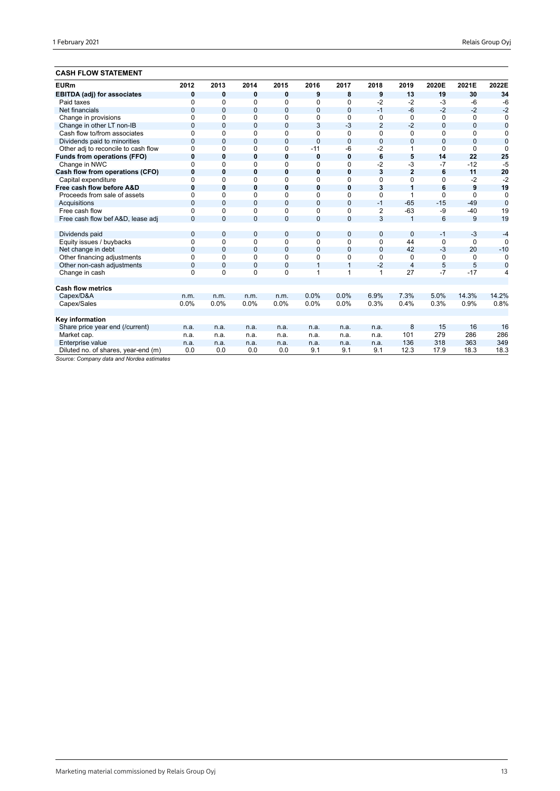## **CASH FLOW STATEMENT**

| <b>EURm</b>                         | 2012           | 2013           | 2014         | 2015           | 2016           | 2017           | 2018           | 2019           | 2020E        | 2021E        | 2022E          |
|-------------------------------------|----------------|----------------|--------------|----------------|----------------|----------------|----------------|----------------|--------------|--------------|----------------|
| <b>EBITDA (adj) for associates</b>  | 0              | 0              | 0            | 0              | 9              | 8              | 9              | 13             | 19           | 30           | 34             |
| Paid taxes                          | $\Omega$       | 0              | $\Omega$     | 0              | $\Omega$       | 0              | $-2$           | $-2$           | $-3$         | $-6$         | $-6$           |
| Net financials                      | $\overline{0}$ | $\mathbf{0}$   | $\mathbf{0}$ | $\overline{0}$ | $\overline{0}$ | $\overline{0}$ | $-1$           | $-6$           | $-2$         | $-2$         | $-2$           |
| Change in provisions                | $\Omega$       | $\Omega$       | $\Omega$     | 0              | 0              | 0              | 0              | $\Omega$       | 0            | $\Omega$     | 0              |
| Change in other LT non-IB           | $\mathbf{0}$   | $\mathbf{0}$   | $\mathbf 0$  | 0              | 3              | $-3$           | $\overline{2}$ | $-2$           | $\mathbf{0}$ | $\mathbf{0}$ | $\bf{0}$       |
| Cash flow to/from associates        | $\Omega$       | 0              | 0            | 0              | $\Omega$       | 0              | $\Omega$       | $\Omega$       | $\Omega$     | $\Omega$     | 0              |
| Dividends paid to minorities        | $\overline{0}$ | $\Omega$       | $\mathbf{0}$ | 0              | $\mathbf{0}$   | $\mathbf{0}$   | $\Omega$       | $\overline{0}$ | $\Omega$     | 0            | $\overline{0}$ |
| Other adj to reconcile to cash flow | $\Omega$       | $\Omega$       | 0            | 0              | $-11$          | -6             | $-2$           | 1              | $\Omega$     | $\Omega$     | $\Omega$       |
| <b>Funds from operations (FFO)</b>  | $\bf{0}$       | 0              | $\bf{0}$     | 0              | $\mathbf 0$    | $\mathbf 0$    | 6              | 5              | 14           | 22           | 25             |
| Change in NWC                       | $\Omega$       | 0              | $\Omega$     | 0              | 0              | 0              | $-2$           | -3             | $-7$         | $-12$        | $-5$           |
| Cash flow from operations (CFO)     | $\bf{0}$       | $\bf{0}$       | 0            | 0              | $\mathbf 0$    | $\bf{0}$       | 3              | $\overline{2}$ | 6            | 11           | 20             |
| Capital expenditure                 | $\Omega$       | 0              | $\Omega$     | 0              | $\Omega$       | 0              | $\Omega$       | $\Omega$       | $\Omega$     | $-2$         | $-2$           |
| Free cash flow before A&D           | $\bf{0}$       | 0              | 0            | 0              | $\mathbf 0$    | 0              | 3              | 1              | 6            | 9            | 19             |
| Proceeds from sale of assets        | $\Omega$       | $\Omega$       | $\Omega$     | 0              | $\Omega$       | 0              | $\Omega$       | 1              | $\Omega$     | $\Omega$     | $\mathbf 0$    |
| Acquisitions                        | $\Omega$       | $\Omega$       | 0            | 0              | $\mathbf{0}$   | $\mathbf{0}$   | $-1$           | $-65$          | $-15$        | $-49$        | $\overline{0}$ |
| Free cash flow                      | $\Omega$       | 0              | $\Omega$     | 0              | $\Omega$       | 0              | $\overline{2}$ | $-63$          | $-9$         | $-40$        | 19             |
| Free cash flow bef A&D, lease adj   | $\Omega$       | $\Omega$       | $\mathbf{0}$ | 0              | $\overline{0}$ | $\Omega$       | 3              | $\overline{1}$ | 6            | 9            | 19             |
|                                     |                |                |              |                |                |                |                |                |              |              |                |
| Dividends paid                      | $\mathbf{0}$   | $\mathbf{0}$   | 0            | 0              | $\overline{0}$ | $\overline{0}$ | $\mathbf{0}$   | $\mathbf{0}$   | $-1$         | $-3$         | $-4$           |
| Equity issues / buybacks            | $\mathbf 0$    | 0              | $\Omega$     | 0              | $\Omega$       | 0              | $\Omega$       | 44             | $\Omega$     | $\Omega$     | $\Omega$       |
| Net change in debt                  | $\overline{0}$ | $\Omega$       | $\Omega$     | 0              | $\mathbf{0}$   | $\overline{0}$ | $\Omega$       | 42             | $-3$         | 20           | $-10$          |
| Other financing adjustments         | $\Omega$       | $\Omega$       | $\Omega$     | 0              | $\Omega$       | 0              | $\Omega$       | 0              | $\Omega$     | $\Omega$     | 0              |
| Other non-cash adjustments          | $\overline{0}$ | $\overline{0}$ | $\mathbf{0}$ | $\overline{0}$ | $\overline{1}$ | $\mathbf{1}$   | $-2$           | $\overline{4}$ | 5            | 5            | $\overline{0}$ |
| Change in cash                      | $\mathbf 0$    | $\Omega$       | 0            | 0              | 1              | 1              | 1              | 27             | $-7$         | $-17$        | 4              |
|                                     |                |                |              |                |                |                |                |                |              |              |                |
| <b>Cash flow metrics</b>            |                |                |              |                |                |                |                |                |              |              |                |
| Capex/D&A                           | n.m.           | n.m.           | n.m.         | n.m.           | 0.0%           | 0.0%           | 6.9%           | 7.3%           | 5.0%         | 14.3%        | 14.2%          |
| Capex/Sales                         | 0.0%           | 0.0%           | 0.0%         | 0.0%           | 0.0%           | 0.0%           | 0.3%           | 0.4%           | 0.3%         | 0.9%         | 0.8%           |
|                                     |                |                |              |                |                |                |                |                |              |              |                |
| Key information                     |                |                |              |                |                |                |                |                |              |              |                |
| Share price year end (/current)     | n.a.           | n.a.           | n.a.         | n.a.           | n.a.           | n.a.           | n.a.           | 8              | 15           | 16           | 16             |
| Market cap.                         | n.a.           | n.a.           | n.a.         | n.a.           | n.a.           | n.a.           | n.a.           | 101            | 279          | 286          | 286            |
| Enterprise value                    | n.a.           | n.a.           | n.a.         | n.a.           | n.a.           | n.a.           | n.a.           | 136            | 318          | 363          | 349            |
| Diluted no. of shares, year-end (m) | 0.0            | 0.0            | 0.0          | 0.0            | 9.1            | 9.1            | 9.1            | 12.3           | 17.9         | 18.3         | 18.3           |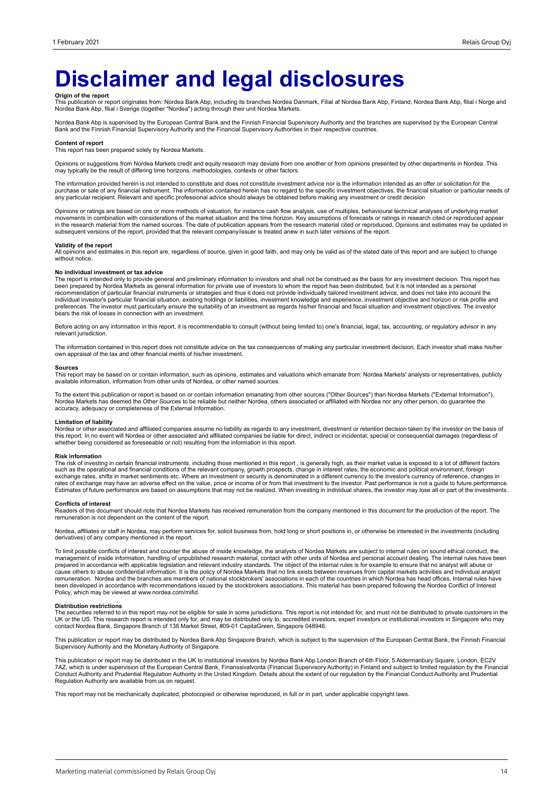## **Disclaimer and legal disclosures**

**Origin of the report**<br>This publication or report originates from: Nordea Bank Abp, including its branches Nordea Danmark, Filial af Nordea Bank Abp, Finland, Nordea Bank Abp, filial i Norge and<br>Nordea Bank Abp, filial i S

Nordea Bank Abp is supervised by the European Central Bank and the Finnish Financial Supervisory Authority and the branches are supervised by the European Central Bank and the Finnish Financial Supervisory Authority and the Financial Supervisory Authorities in their respective countries.

#### **Content of report**

This report has been prepared solely by Nordea Markets.

Opinions or suggestions from Nordea Markets credit and equity research may deviate from one another or from opinions presented by other departments in Nordea. This may typically be the result of differing time horizons, methodologies, contexts or other factors.

The information provided herein is not intended to constitute and does not constitute investment advice nor is the information intended as an offer or solicitation for the purchase or sale of any financial instrument. The information contained herein has no regard to the specific investment objectives, the financial situation or particular needs of any particular recipient. Relevant and specific professional advice should always be obtained before making any investment or credit decision

Opinions or ratings are based on one or more methods of valuation, for instance cash flow analysis, use of multiples, behavioural technical analyses of underlying market movements in combination with considerations of the market situation and the time horizon. Key assumptions of forecasts or ratings in research cited or reproduced appear<br>in the research material from the named sources. The subsequent versions of the report, provided that the relevant company/issuer is treated anew in such later versions of the report.

### **Validity of the report**

All opinions and estimates in this report are, regardless of source, given in good faith, and may only be valid as of the stated date of this report and are subject to change without notice.

#### **No individual investment or tax advice**

The report is intended only to provide general and preliminary information to investors and shall not be construed as the basis for any investment decision. This report has<br>been prepared by Nordea Markets as general inform bears the risk of losses in connection with an investment.

Before acting on any information in this report, it is recommendable to consult (without being limited to) one's financial, legal, tax, accounting, or regulatory advisor in any relevant jurisdiction.

The information contained in this report does not constitute advice on the tax consequences of making any particular investment decision. Each investor shall make his/her own appraisal of the tax and other financial merits of his/her investment.

#### **Sources**

This report may be based on or contain information, such as opinions, estimates and valuations which emanate from: Nordea Markets' analysts or representatives, publicly available information, information from other units of Nordea, or other named sources.

To the extent this publication or report is based on or contain information emanating from other sources ("Other Sources") than Nordea Markets ("External Information"),<br>Nordea Markets has deemed the Other Sources to be rel accuracy, adequacy or completeness of the External Information.

### **Limitation of liability**

Nordea or other associated and affiliated companies assume no liability as regards to any investment, divestment or retention decision taken by the investor on the basis of<br>this report. In no event will Nordea or other ass whether being considered as foreseeable or not) resulting from the information in this report.

#### **Risk information**

The risk of investing in certain financial instruments, including those mentioned in this report , is generally high, as their market value is exposed to a lot of different factors<br>such as the operational and financial con exchange rates, shifts in market sentiments etc. Where an investment or security is denominated in a different currency to the investor's currency of reference, changes in<br>rates of exchange may have an adverse effect on th Estimates of future performance are based on assumptions that may not be realized. When investing in individual shares, the investor may lose all or part of the investments.

#### **Conflicts of interest**

Readers of this document should note that Nordea Markets has received remuneration from the company mentioned in this document for the production of the report. The remuneration is not dependent on the content of the report.

Nordea, affiliates or staff in Nordea, may perform services for, solicit business from, hold long or short positions in, or otherwise be interested in the investments (including derivatives) of any company mentioned in the report.

To limit possible conflicts of interest and counter the abuse of inside knowledge, the analysts of Nordea Markets are subject to internal rules on sound ethical conduct, the management of inside information, handling of unpublished research material, contact with other units of Nordea and personal account dealing. The internal rules have been<br>prepared in accordance with applicable legislation cause others to abuse confidential information. It is the policy of Nordea Markets that no link exists between revenues from capital markets activities and individual analyst remuneration. Nordea and the branches are members of national stockbrokers' associations in each of the countries in which Nordea has head offices. Internal rules have<br>been developed in accordance with recommendations iss Policy, which may be viewed at www.nordea.com/mifid.

### **Distribution restrictions**

The securities referred to in this report may not be eligible for sale in some jurisdictions. This report is not intended for, and must not be distributed to private customers in the UK or the US. This research report is intended only for, and may be distributed only to, accredited investors, expert investors or institutional investors in Singapore who may<br>contact Nordea Bank, Singapore Branch of 138 M

This publication or report may be distributed by Nordea Bank Abp Singapore Branch, which is subject to the supervision of the European Central Bank, the Finnish Financial<br>Supervisory Authority and the Monetary Authority of

This publication or report may be distributed in the UK to institutional investors by Nordea Bank Abp London Branch of 6th Floor, 5 Aldermanbury Square, London, EC2V<br>7AZ, which is under supervision of the European Central Conduct Authority and Prudential Regulation Authority in the United Kingdom. Details about the extent of our regulation by the Financial Conduct Authority and Prudential<br>Regulation Authority are available from us on reques

This report may not be mechanically duplicated, photocopied or otherwise reproduced, in full or in part, under applicable copyright laws.